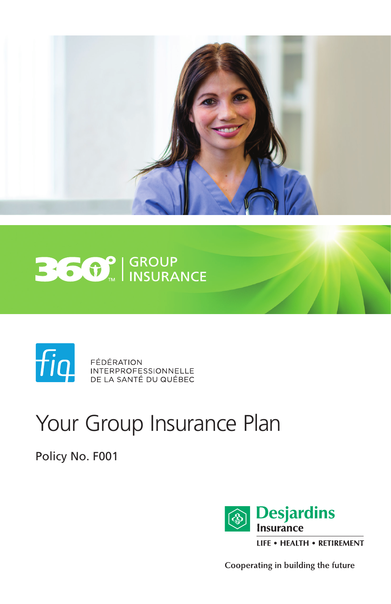





**FEDERATION**<br>INTERPROFESSIONNELLE DE LA SANTÉ DU QUÉBEC

# Your Group Insurance Plan

Policy No. F001



Cooperating in building the future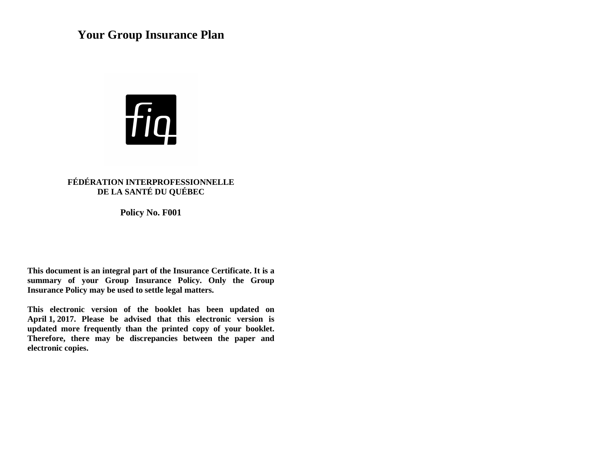## **Your Group Insurance Plan**



## **FÉDÉRATION INTERPROFESSIONNELLE DE LA SANTÉ DU QUÉBEC**

**Policy No. F001**

**This document is an integral part of the Insurance Certificate. It is a summary of your Group Insurance Policy. Only the Group Insurance Policy may be used to settle legal matters.**

**This electronic version of the booklet has been updated on April 1, 2017. Please be advised that this electronic version is updated more frequently than the printed copy of your booklet. Therefore, there may be discrepancies between the paper and electronic copies.**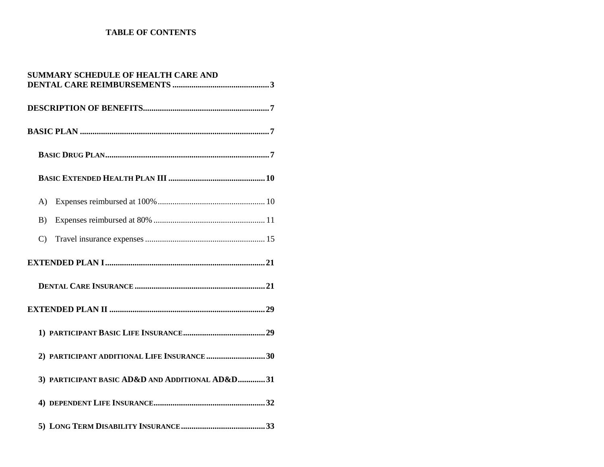## **TABLE OF CONTENTS**

| <b>SUMMARY SCHEDULE OF HEALTH CARE AND</b>      |  |
|-------------------------------------------------|--|
|                                                 |  |
|                                                 |  |
|                                                 |  |
|                                                 |  |
| $\bf{A}$                                        |  |
| B)                                              |  |
| $\mathcal{C}$                                   |  |
|                                                 |  |
|                                                 |  |
|                                                 |  |
|                                                 |  |
| 2) PARTICIPANT ADDITIONAL LIFE INSURANCE 30     |  |
| 3) PARTICIPANT BASIC AD&D AND ADDITIONAL AD&D31 |  |
|                                                 |  |
|                                                 |  |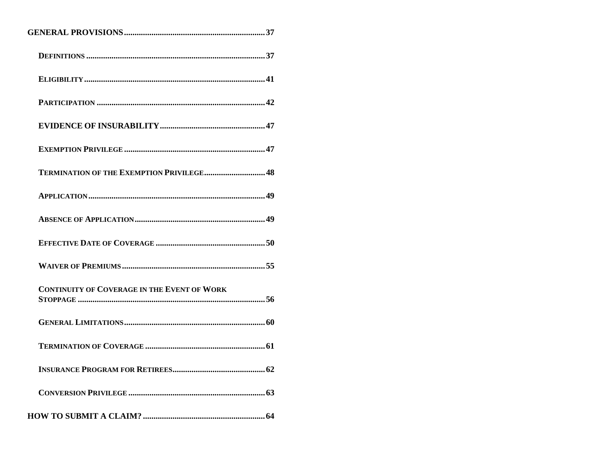| <b>TERMINATION OF THE EXEMPTION PRIVILEGE 48</b>   |
|----------------------------------------------------|
|                                                    |
|                                                    |
|                                                    |
|                                                    |
| <b>CONTINUITY OF COVERAGE IN THE EVENT OF WORK</b> |
|                                                    |
|                                                    |
|                                                    |
|                                                    |
|                                                    |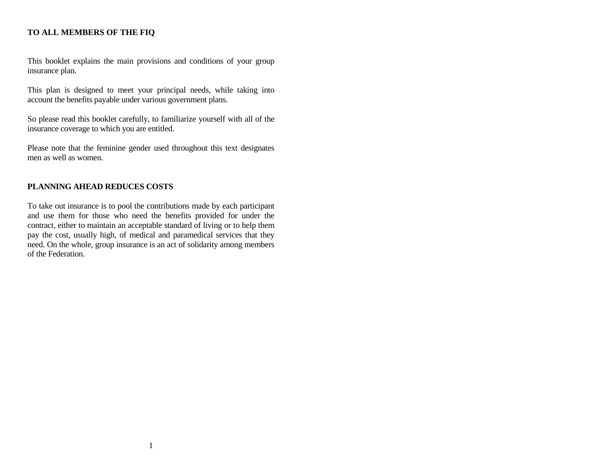## **TO ALL MEMBERS OF THE FIQ**

This booklet explains the main provisions and conditions of your group insurance plan.

This plan is designed to meet your principal needs, while taking into account the benefits payable under various government plans.

So please read this booklet carefully, to familiarize yourself with all of the insurance coverage to which you are entitled.

Please note that the feminine gender used throughout this text designates men as well as women.

## **PLANNING AHEAD REDUCES COSTS**

To take out insurance is to pool the contributions made by each participant and use them for those who need the benefits provided for under the contract, either to maintain an acceptable standard of living or to help them pay the cost, usually high, of medical and paramedical services that they need. On the whole, group insurance is an act of solidarity among members of the Federation.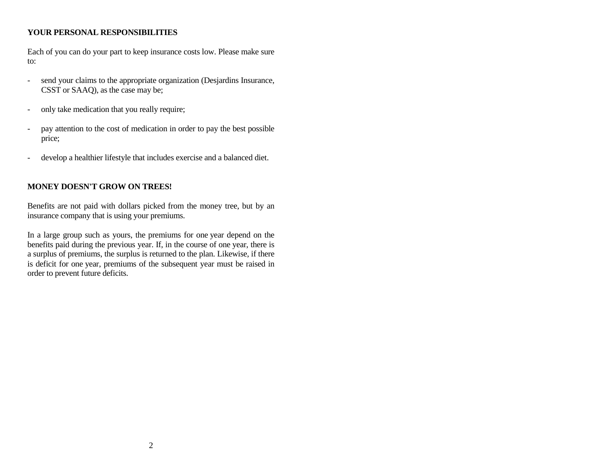## **YOUR PERSONAL RESPONSIBILITIES**

Each of you can do your part to keep insurance costs low. Please make sure to:

- send your claims to the appropriate organization (Desjardins Insurance, CSST or SAAQ), as the case may be;
- only take medication that you really require;
- pay attention to the cost of medication in order to pay the best possible price;
- develop a healthier lifestyle that includes exercise and a balanced diet.

## **MONEY DOESN'T GROW ON TREES!**

Benefits are not paid with dollars picked from the money tree, but by an insurance company that is using your premiums.

In a large group such as yours, the premiums for one year depend on the benefits paid during the previous year. If, in the course of one year, there is a surplus of premiums, the surplus is returned to the plan. Likewise, if there is deficit for one year, premiums of the subsequent year must be raised in order to prevent future deficits.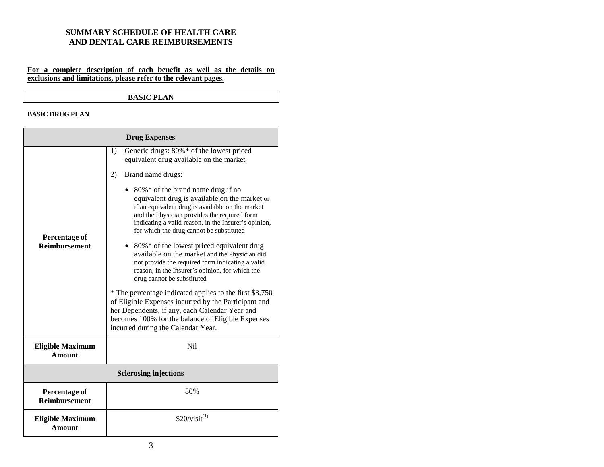#### <span id="page-6-0"></span>**SUMMARY SCHEDULE OF HEALTH CARE AND DENTAL CARE REIMBURSEMENTS**

#### **For a complete description of each benefit as well as the details on exclusions and limitations, please refer to the relevant pages.**

#### **BASIC PLAN**

#### **BASIC DRUG PLAN**

| <b>Drug Expenses</b>                         |                                                                                                                                                                                                                                                                                                                                                                                                                                                                                                                                 |  |
|----------------------------------------------|---------------------------------------------------------------------------------------------------------------------------------------------------------------------------------------------------------------------------------------------------------------------------------------------------------------------------------------------------------------------------------------------------------------------------------------------------------------------------------------------------------------------------------|--|
|                                              | Generic drugs: 80%* of the lowest priced<br>1)<br>equivalent drug available on the market                                                                                                                                                                                                                                                                                                                                                                                                                                       |  |
| <b>Percentage of</b><br><b>Reimbursement</b> | 2)<br>Brand name drugs:                                                                                                                                                                                                                                                                                                                                                                                                                                                                                                         |  |
|                                              | 80%* of the brand name drug if no<br>equivalent drug is available on the market or<br>if an equivalent drug is available on the market<br>and the Physician provides the required form<br>indicating a valid reason, in the Insurer's opinion,<br>for which the drug cannot be substituted<br>• 80%* of the lowest priced equivalent drug<br>available on the market and the Physician did<br>not provide the required form indicating a valid<br>reason, in the Insurer's opinion, for which the<br>drug cannot be substituted |  |
|                                              | * The percentage indicated applies to the first \$3,750<br>of Eligible Expenses incurred by the Participant and<br>her Dependents, if any, each Calendar Year and<br>becomes 100% for the balance of Eligible Expenses<br>incurred during the Calendar Year.                                                                                                                                                                                                                                                                    |  |
| <b>Eligible Maximum</b><br><b>Amount</b>     | Ni1                                                                                                                                                                                                                                                                                                                                                                                                                                                                                                                             |  |
| <b>Sclerosing injections</b>                 |                                                                                                                                                                                                                                                                                                                                                                                                                                                                                                                                 |  |
| <b>Percentage of</b><br><b>Reimbursement</b> | 80%                                                                                                                                                                                                                                                                                                                                                                                                                                                                                                                             |  |
| <b>Eligible Maximum</b><br><b>Amount</b>     | $$20/visit^{(1)}$                                                                                                                                                                                                                                                                                                                                                                                                                                                                                                               |  |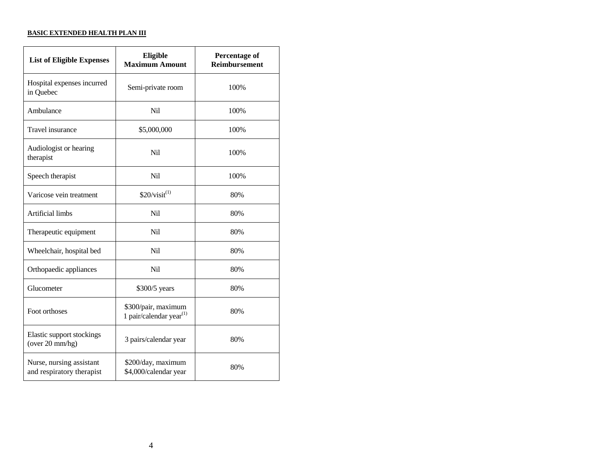#### **BASIC EXTENDED HEALTH PLAN III**

| <b>List of Eligible Expenses</b>                      | Eligible<br><b>Maximum Amount</b>                 | <b>Percentage of</b><br><b>Reimbursement</b> |
|-------------------------------------------------------|---------------------------------------------------|----------------------------------------------|
| Hospital expenses incurred<br>in Quebec               | Semi-private room                                 | 100%                                         |
| Ambulance                                             | Nil                                               | 100%                                         |
| Travel insurance                                      | \$5,000,000                                       | 100%                                         |
| Audiologist or hearing<br>therapist                   | Nil                                               | 100%                                         |
| Speech therapist                                      | Nil                                               | 100%                                         |
| Varicose vein treatment                               | \$20/visit <sup>(1)</sup>                         | 80%                                          |
| Artificial limbs                                      | Nil                                               | 80%                                          |
| Therapeutic equipment                                 | Nil                                               | 80%                                          |
| Wheelchair, hospital bed                              | N <sub>i</sub> l                                  | 80%                                          |
| Orthopaedic appliances                                | N <sub>i</sub>                                    | 80%                                          |
| Glucometer                                            | \$300/5 years                                     | 80%                                          |
| Foot orthoses                                         | \$300/pair, maximum<br>1 pair/calendar year $(1)$ | 80%                                          |
| Elastic support stockings<br>(over 20 mm/hg)          | 3 pairs/calendar year                             | 80%                                          |
| Nurse, nursing assistant<br>and respiratory therapist | \$200/day, maximum<br>\$4,000/calendar year       | 80%                                          |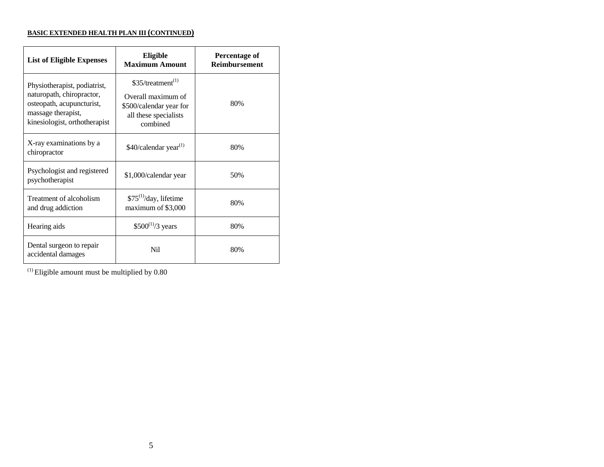#### **BASIC EXTENDED HEALTH PLAN III (CONTINUED)**

| <b>List of Eligible Expenses</b>                                                                                                              | Eligible<br><b>Maximum Amount</b>                                                                                    | <b>Percentage of</b><br><b>Reimbursement</b> |
|-----------------------------------------------------------------------------------------------------------------------------------------------|----------------------------------------------------------------------------------------------------------------------|----------------------------------------------|
| Physiotherapist, podiatrist,<br>naturopath, chiropractor,<br>osteopath, acupuncturist,<br>massage therapist,<br>kinesiologist, orthotherapist | \$35/ treatment <sup>(1)</sup><br>Overall maximum of<br>\$500/calendar year for<br>all these specialists<br>combined | 80%                                          |
| X-ray examinations by a<br>chiropractor                                                                                                       | \$40/calendar year <sup>(1)</sup>                                                                                    | 80%                                          |
| Psychologist and registered<br>psychotherapist                                                                                                | \$1,000/calendar year                                                                                                | 50%                                          |
| Treatment of alcoholism<br>and drug addiction                                                                                                 | $$75^{(1)}$ /day, lifetime<br>maximum of \$3,000                                                                     | 80%                                          |
| Hearing aids                                                                                                                                  | $$500^{(1)}/3$ years                                                                                                 | 80%                                          |
| Dental surgeon to repair<br>accidental damages                                                                                                | N <sub>i</sub>                                                                                                       | 80%                                          |

 $^{\left(1\right)}$  Eligible amount must be multiplied by  $0.80$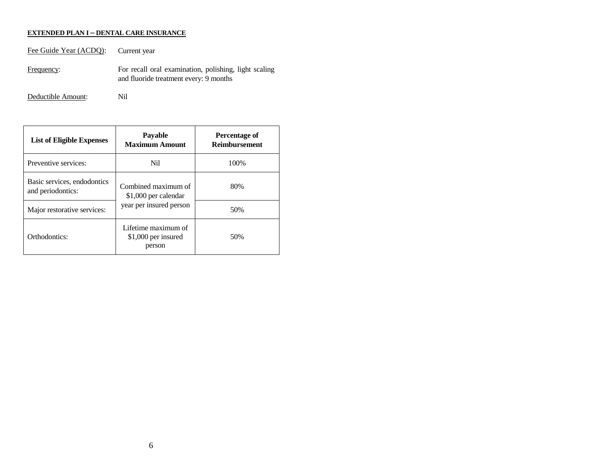#### **EXTENDED PLAN I – DENTAL CARE INSURANCE**

Fee Guide Year (ACDQ): Current year Frequency: For recall oral examination, polishing, light scaling and fluoride treatment every: 9 months

Deductible Amount: Nil

| <b>List of Eligible Expenses</b>                 | <b>Payable</b><br><b>Maximum Amount</b>                                | Percentage of<br><b>Reimbursement</b> |
|--------------------------------------------------|------------------------------------------------------------------------|---------------------------------------|
| Preventive services:                             | Nil                                                                    | 100\%                                 |
| Basic services, endodontics<br>and periodontics: | Combined maximum of<br>\$1,000 per calendar<br>year per insured person | 80%                                   |
| Major restorative services:                      |                                                                        | 50%                                   |
| Orthodontics:                                    | Lifetime maximum of<br>\$1,000 per insured<br>person                   | 50%                                   |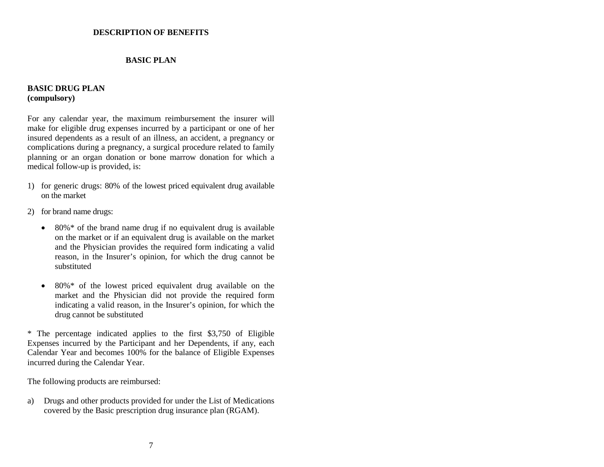#### <span id="page-10-0"></span>**DESCRIPTION OF BENEFITS**

#### **BASIC PLAN**

#### <span id="page-10-1"></span>**BASIC DRUG PLAN (compulsory)**

For any calendar year, the maximum reimbursement the insurer will make for eligible drug expenses incurred by a participant or one of her insured dependents as a result of an illness, an accident, a pregnancy or complications during a pregnancy, a surgical procedure related to family planning or an organ donation or bone marrow donation for which a medical follow-up is provided, is:

- 1) for generic drugs: 80% of the lowest priced equivalent drug available on the market
- 2) for brand name drugs:
	- $\bullet$  80%\* of the brand name drug if no equivalent drug is available on the market or if an equivalent drug is available on the market and the Physician provides the required form indicating a valid reason, in the Insurer's opinion, for which the drug cannot be substituted
	- $\bullet$  80%\* of the lowest priced equivalent drug available on the market and the Physician did not provide the required form indicating a valid reason, in the Insurer's opinion, for which the drug cannot be substituted

\* The percentage indicated applies to the first \$3,750 of Eligible Expenses incurred by the Participant and her Dependents, if any, each Calendar Year and becomes 100% for the balance of Eligible Expenses incurred during the Calendar Year.

The following products are reimbursed:

a) Drugs and other products provided for under the List of Medications covered by the Basic prescription drug insurance plan (RGAM).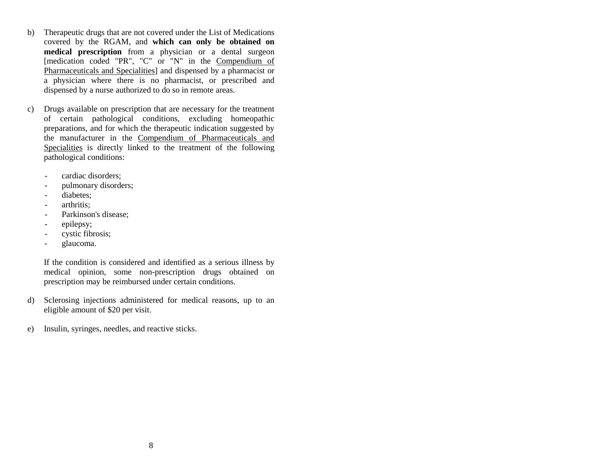- b) Therapeutic drugs that are not covered under the List of Medications covered by the RGAM, and **which can only be obtained on medical prescription** from a physician or a dental surgeon Imedication coded "PR", "C" or "N" in the Compendium of Pharmaceuticals and Specialities] and dispensed by a pharmacist or a physician where there is no pharmacist, or prescribed and dispensed by a nurse authorized to do so in remote areas.
- c) Drugs available on prescription that are necessary for the treatment of certain pathological conditions, excluding homeopathic preparations, and for which the therapeutic indication suggested by the manufacturer in the Compendium of Pharmaceuticals and Specialities is directly linked to the treatment of the following pathological conditions:
	- cardiac disorders;
	- pulmonary disorders;
	- diabetes;
	- arthritis;
	- Parkinson's disease;
	- epilepsy;
	- cystic fibrosis;
	- glaucoma.

If the condition is considered and identified as a serious illness by medical opinion, some non-prescription drugs obtained on prescription may be reimbursed under certain conditions.

- d) Sclerosing injections administered for medical reasons, up to an eligible amount of \$20 per visit.
- e) Insulin, syringes, needles, and reactive sticks.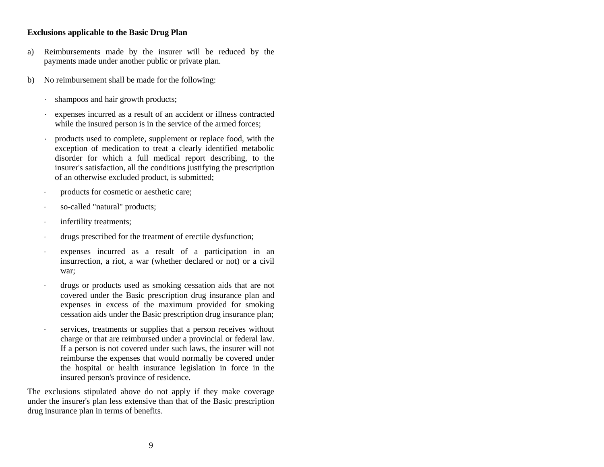## **Exclusions applicable to the Basic Drug Plan**

- a) Reimbursements made by the insurer will be reduced by the payments made under another public or private plan.
- b) No reimbursement shall be made for the following:
	- shampoos and hair growth products;
	- expenses incurred as a result of an accident or illness contracted while the insured person is in the service of the armed forces;
	- products used to complete, supplement or replace food, with the exception of medication to treat a clearly identified metabolic disorder for which a full medical report describing, to the insurer's satisfaction, all the conditions justifying the prescription of an otherwise excluded product, is submitted;
	- products for cosmetic or aesthetic care;
	- so-called "natural" products;
	- infertility treatments;
	- drugs prescribed for the treatment of erectile dysfunction;
	- expenses incurred as a result of a participation in an insurrection, a riot, a war (whether declared or not) or a civil war;
	- drugs or products used as smoking cessation aids that are not covered under the Basic prescription drug insurance plan and expenses in excess of the maximum provided for smoking cessation aids under the Basic prescription drug insurance plan;
	- services, treatments or supplies that a person receives without charge or that are reimbursed under a provincial or federal law. If a person is not covered under such laws, the insurer will not reimburse the expenses that would normally be covered under the hospital or health insurance legislation in force in the insured person's province of residence.

The exclusions stipulated above do not apply if they make coverage under the insurer's plan less extensive than that of the Basic prescription drug insurance plan in terms of benefits.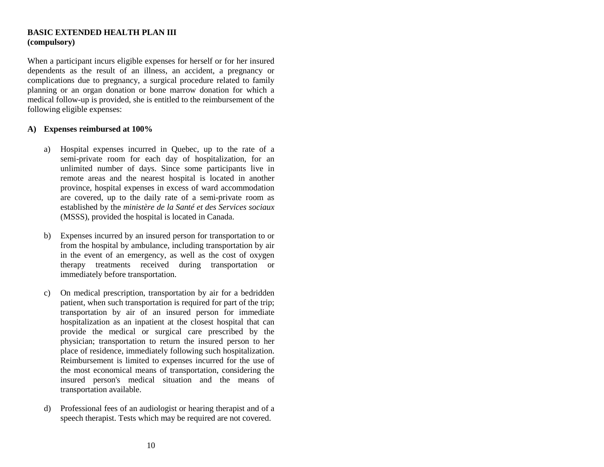#### <span id="page-13-0"></span>**BASIC EXTENDED HEALTH PLAN III (compulsory)**

When a participant incurs eligible expenses for herself or for her insured dependents as the result of an illness, an accident, a pregnancy or complications due to pregnancy, a surgical procedure related to family planning or an organ donation or bone marrow donation for which a medical follow-up is provided, she is entitled to the reimbursement of the following eligible expenses:

#### <span id="page-13-1"></span>**A) Expenses reimbursed at 100%**

- a) Hospital expenses incurred in Quebec, up to the rate of a semi-private room for each day of hospitalization, for an unlimited number of days. Since some participants live in remote areas and the nearest hospital is located in another province, hospital expenses in excess of ward accommodation are covered, up to the daily rate of a semi-private room as established by the *ministère de la Santé et des Services sociaux* (MSSS), provided the hospital is located in Canada.
- b) Expenses incurred by an insured person for transportation to or from the hospital by ambulance, including transportation by air in the event of an emergency, as well as the cost of oxygen therapy treatments received during transportation or immediately before transportation.
- c) On medical prescription, transportation by air for a bedridden patient, when such transportation is required for part of the trip; transportation by air of an insured person for immediate hospitalization as an inpatient at the closest hospital that can provide the medical or surgical care prescribed by the physician; transportation to return the insured person to her place of residence, immediately following such hospitalization. Reimbursement is limited to expenses incurred for the use of the most economical means of transportation, considering the insured person's medical situation and the means of transportation available.
- d) Professional fees of an audiologist or hearing therapist and of a speech therapist. Tests which may be required are not covered.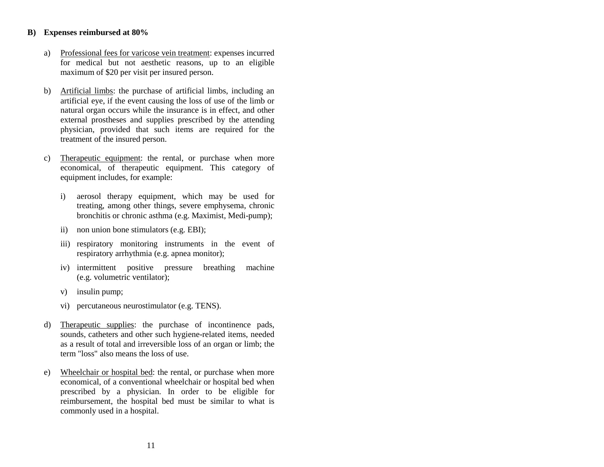#### <span id="page-14-0"></span>**B) Expenses reimbursed at 80%**

- a) Professional fees for varicose vein treatment: expenses incurred for medical but not aesthetic reasons, up to an eligible maximum of \$20 per visit per insured person.
- b) Artificial limbs: the purchase of artificial limbs, including an artificial eye, if the event causing the loss of use of the limb or natural organ occurs while the insurance is in effect, and other external prostheses and supplies prescribed by the attending physician, provided that such items are required for the treatment of the insured person.
- c) Therapeutic equipment: the rental, or purchase when more economical, of therapeutic equipment. This category of equipment includes, for example:
	- i) aerosol therapy equipment, which may be used for treating, among other things, severe emphysema, chronic bronchitis or chronic asthma (e.g. Maximist, Medi-pump);
	- ii) non union bone stimulators (e.g. EBI);
	- iii) respiratory monitoring instruments in the event of respiratory arrhythmia (e.g. apnea monitor);
	- iv) intermittent positive pressure breathing machine (e.g. volumetric ventilator);
	- v) insulin pump;
	- vi) percutaneous neurostimulator (e.g. TENS).
- d) Therapeutic supplies: the purchase of incontinence pads, sounds, catheters and other such hygiene-related items, needed as a result of total and irreversible loss of an organ or limb; the term "loss" also means the loss of use.
- e) Wheelchair or hospital bed: the rental, or purchase when more economical, of a conventional wheelchair or hospital bed when prescribed by a physician. In order to be eligible for reimbursement, the hospital bed must be similar to what is commonly used in a hospital.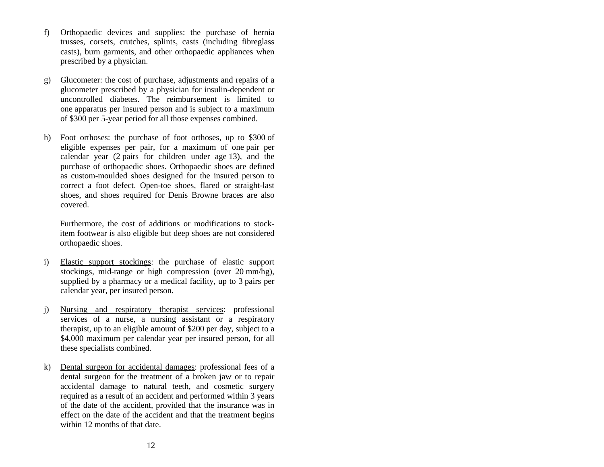- f) Orthopaedic devices and supplies: the purchase of hernia trusses, corsets, crutches, splints, casts (including fibreglass casts), burn garments, and other orthopaedic appliances when prescribed by a physician.
- g) Glucometer: the cost of purchase, adjustments and repairs of a glucometer prescribed by a physician for insulin-dependent or uncontrolled diabetes. The reimbursement is limited to one apparatus per insured person and is subject to a maximum of \$300 per 5-year period for all those expenses combined.
- h) Foot orthoses: the purchase of foot orthoses, up to \$300 of eligible expenses per pair, for a maximum of one pair per calendar year (2 pairs for children under age 13), and the purchase of orthopaedic shoes. Orthopaedic shoes are defined as custom-moulded shoes designed for the insured person to correct a foot defect. Open-toe shoes, flared or straight-last shoes, and shoes required for Denis Browne braces are also covered.

Furthermore, the cost of additions or modifications to stockitem footwear is also eligible but deep shoes are not considered orthopaedic shoes.

- i) Elastic support stockings: the purchase of elastic support stockings, mid-range or high compression (over 20 mm/hg), supplied by a pharmacy or a medical facility, up to 3 pairs per calendar year, per insured person.
- j) Nursing and respiratory therapist services: professional services of a nurse, a nursing assistant or a respiratory therapist, up to an eligible amount of \$200 per day, subject to a \$4,000 maximum per calendar year per insured person, for all these specialists combined.
- k) Dental surgeon for accidental damages: professional fees of a dental surgeon for the treatment of a broken jaw or to repair accidental damage to natural teeth, and cosmetic surgery required as a result of an accident and performed within 3 years of the date of the accident, provided that the insurance was in effect on the date of the accident and that the treatment begins within 12 months of that date.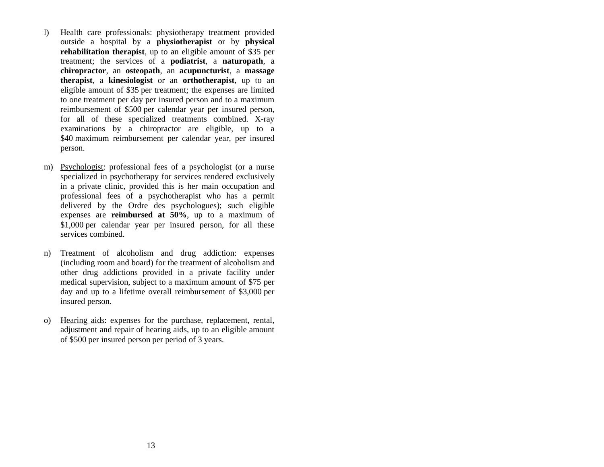- l) Health care professionals: physiotherapy treatment provided outside a hospital by a **physiotherapist** or by **physical rehabilitation therapist**, up to an eligible amount of \$35 per treatment; the services of a **podiatrist**, a **naturopath**, a **chiropractor**, an **osteopath**, an **acupuncturist**, a **massage therapist**, a **kinesiologist** or an **orthotherapist**, up to an eligible amount of \$35 per treatment; the expenses are limited to one treatment per day per insured person and to a maximum reimbursement of \$500 per calendar year per insured person, for all of these specialized treatments combined. X-ray examinations by a chiropractor are eligible, up to a \$40 maximum reimbursement per calendar year, per insured person.
- m) Psychologist: professional fees of a psychologist (or a nurse specialized in psychotherapy for services rendered exclusively in a private clinic, provided this is her main occupation and professional fees of a psychotherapist who has a permit delivered by the Ordre des psychologues); such eligible expenses are **reimbursed at 50%**, up to a maximum of \$1,000 per calendar year per insured person, for all these services combined.
- n) Treatment of alcoholism and drug addiction: expenses (including room and board) for the treatment of alcoholism and other drug addictions provided in a private facility under medical supervision, subject to a maximum amount of \$75 per day and up to a lifetime overall reimbursement of \$3,000 per insured person.
- o) Hearing aids: expenses for the purchase, replacement, rental, adjustment and repair of hearing aids, up to an eligible amount of \$500 per insured person per period of 3 years.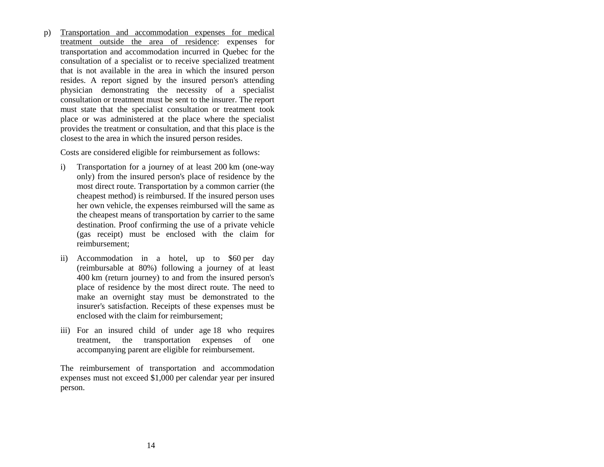p) Transportation and accommodation expenses for medical treatment outside the area of residence: expenses for transportation and accommodation incurred in Quebec for the consultation of a specialist or to receive specialized treatment that is not available in the area in which the insured person resides. A report signed by the insured person's attending physician demonstrating the necessity of a specialist consultation or treatment must be sent to the insurer. The report must state that the specialist consultation or treatment took place or was administered at the place where the specialist provides the treatment or consultation, and that this place is the closest to the area in which the insured person resides.

Costs are considered eligible for reimbursement as follows:

- i) Transportation for a journey of at least 200 km (one-way only) from the insured person's place of residence by the most direct route. Transportation by a common carrier (the cheapest method) is reimbursed. If the insured person uses her own vehicle, the expenses reimbursed will the same as the cheapest means of transportation by carrier to the same destination. Proof confirming the use of a private vehicle (gas receipt) must be enclosed with the claim for reimbursement;
- ii) Accommodation in a hotel, up to \$60 per day (reimbursable at 80%) following a journey of at least 400 km (return journey) to and from the insured person's place of residence by the most direct route. The need to make an overnight stay must be demonstrated to the insurer's satisfaction. Receipts of these expenses must be enclosed with the claim for reimbursement;
- iii) For an insured child of under age 18 who requires treatment, the transportation expenses of one accompanying parent are eligible for reimbursement.

The reimbursement of transportation and accommodation expenses must not exceed \$1,000 per calendar year per insured person.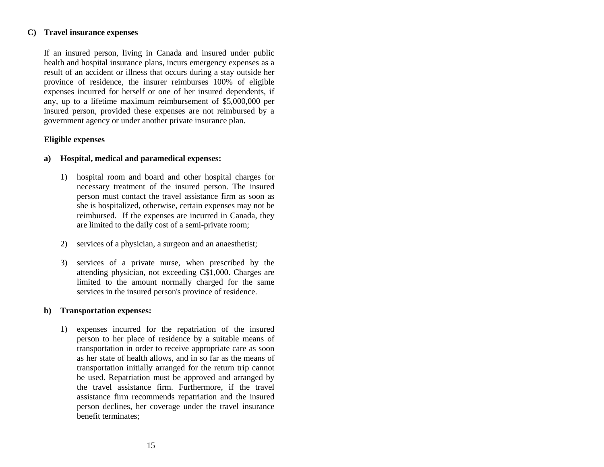#### <span id="page-18-0"></span>**C) Travel insurance expenses**

If an insured person, living in Canada and insured under public health and hospital insurance plans, incurs emergency expenses as a result of an accident or illness that occurs during a stay outside her province of residence, the insurer reimburses 100% of eligible expenses incurred for herself or one of her insured dependents, if any, up to a lifetime maximum reimbursement of \$5,000,000 per insured person, provided these expenses are not reimbursed by a government agency or under another private insurance plan.

## **Eligible expenses**

#### **a) Hospital, medical and paramedical expenses:**

- 1) hospital room and board and other hospital charges for necessary treatment of the insured person. The insured person must contact the travel assistance firm as soon as she is hospitalized, otherwise, certain expenses may not be reimbursed. If the expenses are incurred in Canada, they are limited to the daily cost of a semi-private room;
- 2) services of a physician, a surgeon and an anaesthetist;
- 3) services of a private nurse, when prescribed by the attending physician, not exceeding C\$1,000. Charges are limited to the amount normally charged for the same services in the insured person's province of residence.

#### **b) Transportation expenses:**

1) expenses incurred for the repatriation of the insured person to her place of residence by a suitable means of transportation in order to receive appropriate care as soon as her state of health allows, and in so far as the means of transportation initially arranged for the return trip cannot be used. Repatriation must be approved and arranged by the travel assistance firm. Furthermore, if the travel assistance firm recommends repatriation and the insured person declines, her coverage under the travel insurance benefit terminates;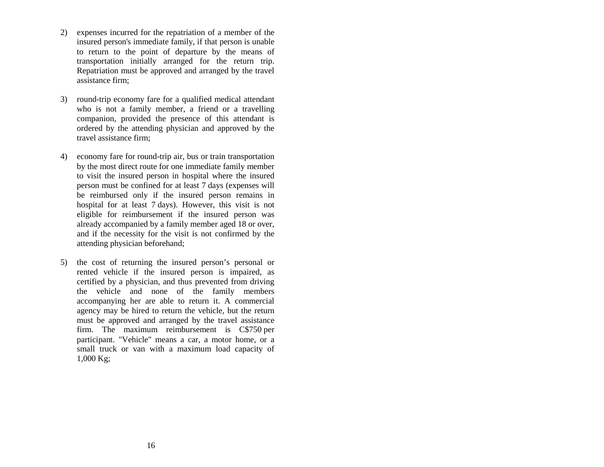- 2) expenses incurred for the repatriation of a member of the insured person's immediate family, if that person is unable to return to the point of departure by the means of transportation initially arranged for the return trip. Repatriation must be approved and arranged by the travel assistance firm;
- 3) round-trip economy fare for a qualified medical attendant who is not a family member, a friend or a travelling companion, provided the presence of this attendant is ordered by the attending physician and approved by the travel assistance firm;
- 4) economy fare for round-trip air, bus or train transportation by the most direct route for one immediate family member to visit the insured person in hospital where the insured person must be confined for at least 7 days (expenses will be reimbursed only if the insured person remains in hospital for at least 7 days). However, this visit is not eligible for reimbursement if the insured person was already accompanied by a family member aged 18 or over, and if the necessity for the visit is not confirmed by the attending physician beforehand;
- 5) the cost of returning the insured person's personal or rented vehicle if the insured person is impaired, as certified by a physician, and thus prevented from driving the vehicle and none of the family members accompanying her are able to return it. A commercial agency may be hired to return the vehicle, but the return must be approved and arranged by the travel assistance firm. The maximum reimbursement is C\$750 per participant. "Vehicle" means a car, a motor home, or a small truck or van with a maximum load capacity of 1,000 Kg;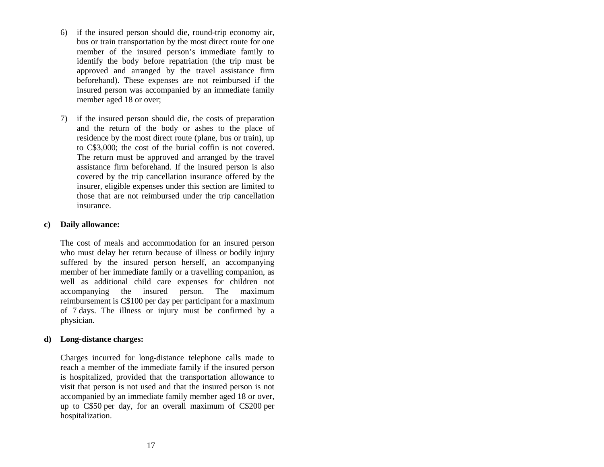- 6) if the insured person should die, round-trip economy air, bus or train transportation by the most direct route for one member of the insured person's immediate family to identify the body before repatriation (the trip must be approved and arranged by the travel assistance firm beforehand). These expenses are not reimbursed if the insured person was accompanied by an immediate family member aged 18 or over;
- 7) if the insured person should die, the costs of preparation and the return of the body or ashes to the place of residence by the most direct route (plane, bus or train), up to C\$3,000; the cost of the burial coffin is not covered. The return must be approved and arranged by the travel assistance firm beforehand. If the insured person is also covered by the trip cancellation insurance offered by the insurer, eligible expenses under this section are limited to those that are not reimbursed under the trip cancellation insurance.

## **c) Daily allowance:**

The cost of meals and accommodation for an insured person who must delay her return because of illness or bodily injury suffered by the insured person herself, an accompanying member of her immediate family or a travelling companion, as well as additional child care expenses for children not accompanying the insured person. The maximum reimbursement is C\$100 per day per participant for a maximum of 7 days. The illness or injury must be confirmed by a physician.

#### **d) Long-distance charges:**

Charges incurred for long-distance telephone calls made to reach a member of the immediate family if the insured person is hospitalized, provided that the transportation allowance to visit that person is not used and that the insured person is not accompanied by an immediate family member aged 18 or over, up to C\$50 per day, for an overall maximum of C\$200 per hospitalization.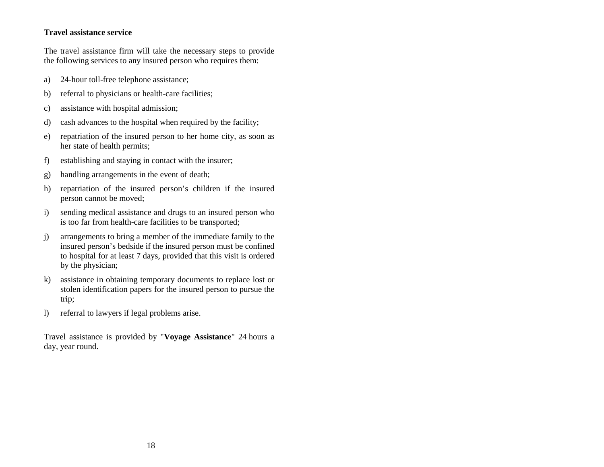## **Travel assistance service**

The travel assistance firm will take the necessary steps to provide the following services to any insured person who requires them:

- a) 24-hour toll-free telephone assistance;
- b) referral to physicians or health-care facilities;
- c) assistance with hospital admission;
- d) cash advances to the hospital when required by the facility;
- e) repatriation of the insured person to her home city, as soon as her state of health permits;
- f) establishing and staying in contact with the insurer;
- g) handling arrangements in the event of death;
- h) repatriation of the insured person's children if the insured person cannot be moved;
- i) sending medical assistance and drugs to an insured person who is too far from health-care facilities to be transported;
- j) arrangements to bring a member of the immediate family to the insured person's bedside if the insured person must be confined to hospital for at least 7 days, provided that this visit is ordered by the physician;
- k) assistance in obtaining temporary documents to replace lost or stolen identification papers for the insured person to pursue the trip;
- l) referral to lawyers if legal problems arise.

Travel assistance is provided by "**Voyage Assistance**" 24 hours a day, year round.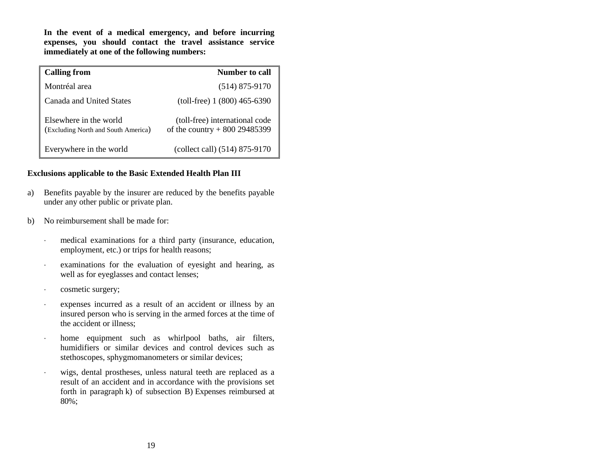**In the event of a medical emergency, and before incurring expenses, you should contact the travel assistance service immediately at one of the following numbers:**

| <b>Calling from</b>                                           | Number to call                                                  |
|---------------------------------------------------------------|-----------------------------------------------------------------|
| Montréal area                                                 | $(514)$ 875-9170                                                |
| Canada and United States                                      | $(toll-free) 1 (800) 465-6390$                                  |
| Elsewhere in the world<br>(Excluding North and South America) | (toll-free) international code<br>of the country $+80029485399$ |
| Everywhere in the world                                       | (collect call) (514) 875-9170                                   |

#### **Exclusions applicable to the Basic Extended Health Plan III**

- a) Benefits payable by the insurer are reduced by the benefits payable under any other public or private plan.
- b) No reimbursement shall be made for:
	- medical examinations for a third party (insurance, education, employment, etc.) or trips for health reasons;
	- examinations for the evaluation of eyesight and hearing, as well as for eyeglasses and contact lenses;
	- cosmetic surgery;
	- expenses incurred as a result of an accident or illness by an insured person who is serving in the armed forces at the time of the accident or illness;
	- home equipment such as whirlpool baths, air filters, humidifiers or similar devices and control devices such as stethoscopes, sphygmomanometers or similar devices;
	- wigs, dental prostheses, unless natural teeth are replaced as a result of an accident and in accordance with the provisions set forth in paragraph k) of subsection B) Expenses reimbursed at 80%;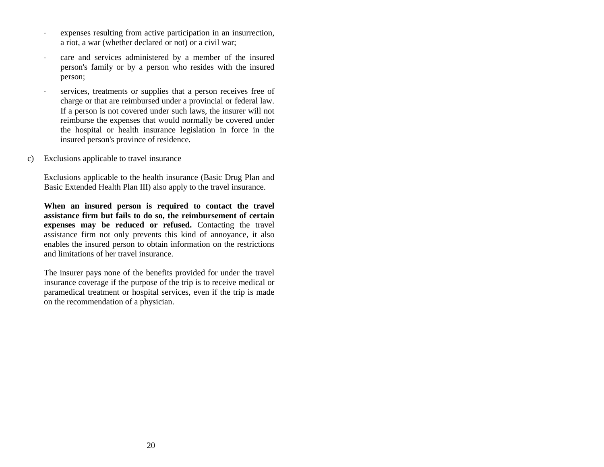- expenses resulting from active participation in an insurrection, a riot, a war (whether declared or not) or a civil war;
- care and services administered by a member of the insured person's family or by a person who resides with the insured person;
- services, treatments or supplies that a person receives free of charge or that are reimbursed under a provincial or federal law. If a person is not covered under such laws, the insurer will not reimburse the expenses that would normally be covered under the hospital or health insurance legislation in force in the insured person's province of residence.
- c) Exclusions applicable to travel insurance

Exclusions applicable to the health insurance (Basic Drug Plan and Basic Extended Health Plan III) also apply to the travel insurance.

**When an insured person is required to contact the travel assistance firm but fails to do so, the reimbursement of certain expenses may be reduced or refused.** Contacting the travel assistance firm not only prevents this kind of annoyance, it also enables the insured person to obtain information on the restrictions and limitations of her travel insurance.

The insurer pays none of the benefits provided for under the travel insurance coverage if the purpose of the trip is to receive medical or paramedical treatment or hospital services, even if the trip is made on the recommendation of a physician.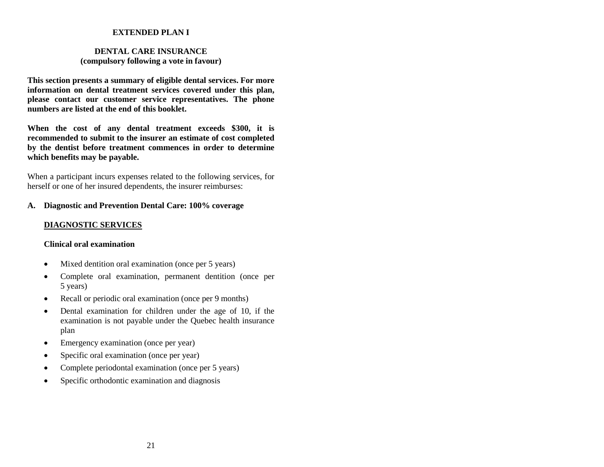#### <span id="page-24-0"></span>**EXTENDED PLAN I**

#### <span id="page-24-1"></span>**DENTAL CARE INSURANCE (compulsory following a vote in favour)**

**This section presents a summary of eligible dental services. For more information on dental treatment services covered under this plan, please contact our customer service representatives. The phone numbers are listed at the end of this booklet.**

**When the cost of any dental treatment exceeds \$300, it is recommended to submit to the insurer an estimate of cost completed by the dentist before treatment commences in order to determine which benefits may be payable.**

When a participant incurs expenses related to the following services, for herself or one of her insured dependents, the insurer reimburses:

## **A. Diagnostic and Prevention Dental Care: 100% coverage**

## **DIAGNOSTIC SERVICES**

#### **Clinical oral examination**

- Mixed dentition oral examination (once per 5 years)
- Complete oral examination, permanent dentition (once per 5 years)
- Recall or periodic oral examination (once per 9 months)
- Dental examination for children under the age of 10, if the examination is not payable under the Quebec health insurance plan
- Emergency examination (once per year)
- Specific oral examination (once per year)
- Complete periodontal examination (once per 5 years)
- Specific orthodontic examination and diagnosis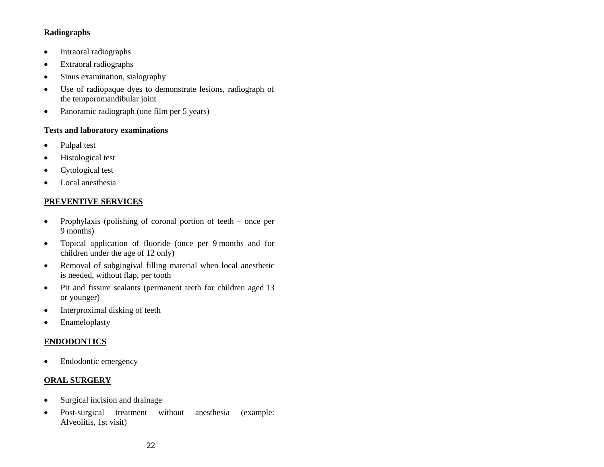## **Radiographs**

- Intraoral radiographs
- Extraoral radiographs
- Sinus examination, sialography
- Use of radiopaque dyes to demonstrate lesions, radiograph of the temporomandibular joint
- Panoramic radiograph (one film per 5 years)

## **Tests and laboratory examinations**

- Pulpal test
- Histological test
- Cytological test
- Local anesthesia

## **PREVENTIVE SERVICES**

- Prophylaxis (polishing of coronal portion of teeth once per 9 months)
- Topical application of fluoride (once per 9 months and for children under the age of 12 only)
- Removal of subgingival filling material when local anesthetic is needed, without flap, per tooth
- Pit and fissure sealants (permanent teeth for children aged 13 or younger)
- Interproximal disking of teeth
- Enameloplasty

## **ENDODONTICS**

• Endodontic emergency

## **ORAL SURGERY**

- Surgical incision and drainage
- Post-surgical treatment without anesthesia (example: Alveolitis, 1st visit)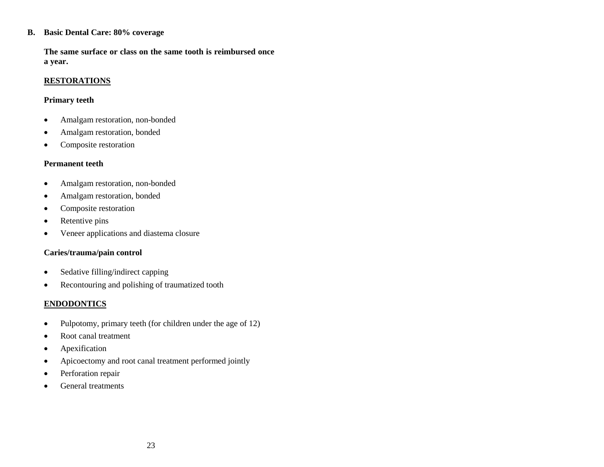#### **B. Basic Dental Care: 80% coverage**

**The same surface or class on the same tooth is reimbursed once a year.**

## **RESTORATIONS**

## **Primary teeth**

- Amalgam restoration, non-bonded
- Amalgam restoration, bonded
- Composite restoration

## **Permanent teeth**

- Amalgam restoration, non-bonded
- Amalgam restoration, bonded
- Composite restoration
- Retentive pins
- Veneer applications and diastema closure

## **Caries/trauma/pain control**

- Sedative filling/indirect capping
- Recontouring and polishing of traumatized tooth

## **ENDODONTICS**

- Pulpotomy, primary teeth (for children under the age of  $12$ )
- Root canal treatment
- Apexification
- Apicoectomy and root canal treatment performed jointly
- Perforation repair
- General treatments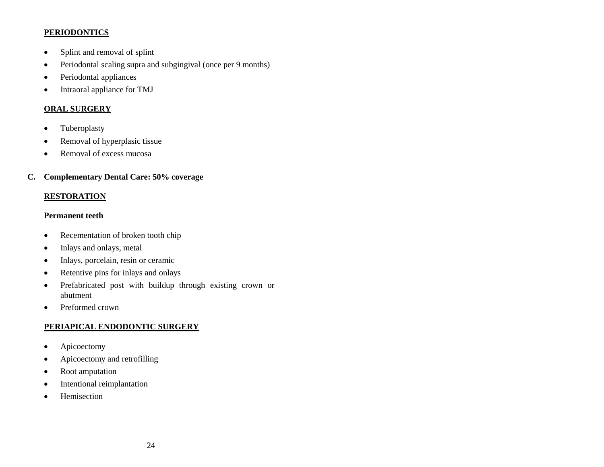## **PERIODONTICS**

- Splint and removal of splint
- Periodontal scaling supra and subgingival (once per 9 months)
- Periodontal appliances
- Intraoral appliance for TMJ

## **ORAL SURGERY**

- Tuberoplasty
- Removal of hyperplasic tissue
- Removal of excess mucosa

## **C. Complementary Dental Care: 50% coverage**

## **RESTORATION**

## **Permanent teeth**

- Recementation of broken tooth chip
- Inlays and onlays, metal
- Inlays, porcelain, resin or ceramic
- Retentive pins for inlays and onlays
- Prefabricated post with buildup through existing crown or abutment
- Preformed crown

## **PERIAPICAL ENDODONTIC SURGERY**

- Apicoectomy
- Apicoectomy and retrofilling
- Root amputation
- Intentional reimplantation
- Hemisection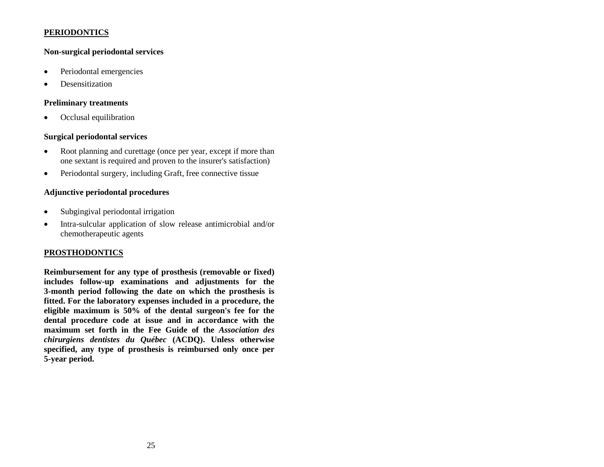## **PERIODONTICS**

## **Non-surgical periodontal services**

- Periodontal emergencies
- Desensitization

#### **Preliminary treatments**

Occlusal equilibration

#### **Surgical periodontal services**

- Root planning and curettage (once per year, except if more than one sextant is required and proven to the insurer's satisfaction)
- Periodontal surgery, including Graft, free connective tissue

## **Adjunctive periodontal procedures**

- Subgingival periodontal irrigation
- Intra-sulcular application of slow release antimicrobial and/or chemotherapeutic agents

#### **PROSTHODONTICS**

**Reimbursement for any type of prosthesis (removable or fixed) includes follow-up examinations and adjustments for the 3-month period following the date on which the prosthesis is fitted. For the laboratory expenses included in a procedure, the eligible maximum is 50% of the dental surgeon's fee for the dental procedure code at issue and in accordance with the maximum set forth in the Fee Guide of the** *Association des chirurgiens dentistes du Québec* **(ACDQ). Unless otherwise specified, any type of prosthesis is reimbursed only once per 5-year period.**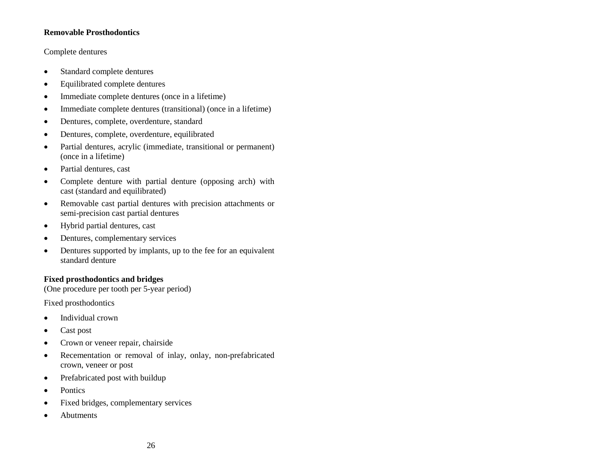## **Removable Prosthodontics**

## Complete dentures

- Standard complete dentures
- Equilibrated complete dentures
- Immediate complete dentures (once in a lifetime)
- Immediate complete dentures (transitional) (once in a lifetime)
- Dentures, complete, overdenture, standard
- Dentures, complete, overdenture, equilibrated
- Partial dentures, acrylic (immediate, transitional or permanent) (once in a lifetime)
- Partial dentures, cast
- Complete denture with partial denture (opposing arch) with cast (standard and equilibrated)
- Removable cast partial dentures with precision attachments or semi-precision cast partial dentures
- Hybrid partial dentures, cast
- Dentures, complementary services
- Dentures supported by implants, up to the fee for an equivalent standard denture

#### **Fixed prosthodontics and bridges**

(One procedure per tooth per 5-year period)

Fixed prosthodontics

- Individual crown
- Cast post
- Crown or veneer repair, chairside
- Recementation or removal of inlay, onlay, non-prefabricated crown, veneer or post
- Prefabricated post with buildup
- Pontics
- Fixed bridges, complementary services
- Abutments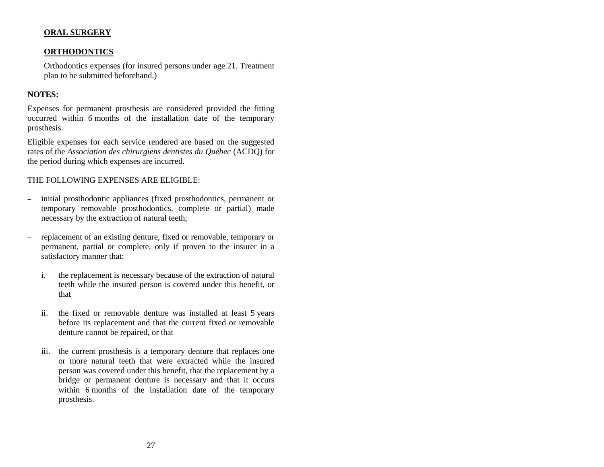## **ORAL SURGERY**

## **ORTHODONTICS**

Orthodontics expenses (for insured persons under age 21. Treatment plan to be submitted beforehand.)

## **NOTES:**

Expenses for permanent prosthesis are considered provided the fitting occurred within 6 months of the installation date of the temporary prosthesis.

Eligible expenses for each service rendered are based on the suggested rates of the *Association des chirurgiens dentistes du Québec* (ACDQ) for the period during which expenses are incurred.

## THE FOLLOWING EXPENSES ARE ELIGIBLE:

- initial prosthodontic appliances (fixed prosthodontics, permanent or temporary removable prosthodontics, complete or partial) made necessary by the extraction of natural teeth;
- replacement of an existing denture, fixed or removable, temporary or permanent, partial or complete, only if proven to the insurer in a satisfactory manner that:
	- i. the replacement is necessary because of the extraction of natural teeth while the insured person is covered under this benefit, or that
	- ii. the fixed or removable denture was installed at least 5 years before its replacement and that the current fixed or removable denture cannot be repaired, or that
	- iii. the current prosthesis is a temporary denture that replaces one or more natural teeth that were extracted while the insured person was covered under this benefit, that the replacement by a bridge or permanent denture is necessary and that it occurs within 6 months of the installation date of the temporary prosthesis.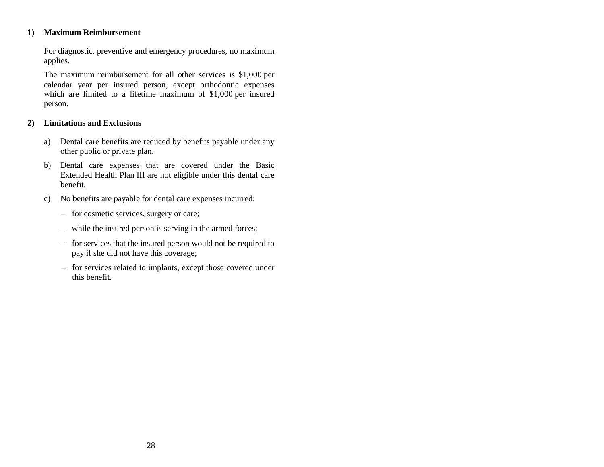## **1) Maximum Reimbursement**

For diagnostic, preventive and emergency procedures, no maximum applies.

The maximum reimbursement for all other services is \$1,000 per calendar year per insured person, except orthodontic expenses which are limited to a lifetime maximum of \$1,000 per insured person.

#### **2) Limitations and Exclusions**

- a) Dental care benefits are reduced by benefits payable under any other public or private plan.
- b) Dental care expenses that are covered under the Basic Extended Health Plan III are not eligible under this dental care benefit.
- c) No benefits are payable for dental care expenses incurred:
	- for cosmetic services, surgery or care;
	- while the insured person is serving in the armed forces;
	- for services that the insured person would not be required to pay if she did not have this coverage;
	- for services related to implants, except those covered under this benefit.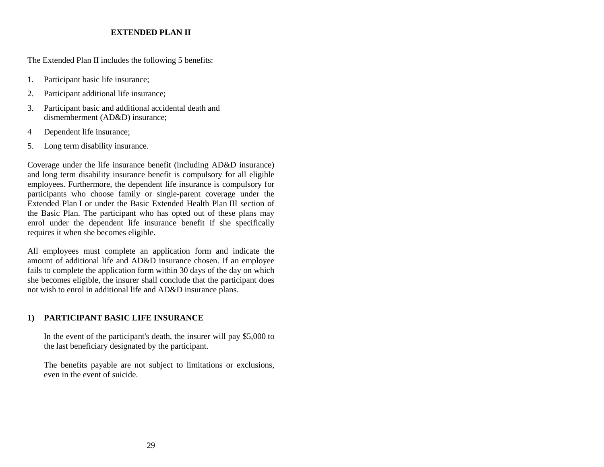## **EXTENDED PLAN II**

The Extended Plan II includes the following 5 benefits:

- 1. Participant basic life insurance;
- 2. Participant additional life insurance;
- 3. Participant basic and additional accidental death and dismemberment (AD&D) insurance;
- 4 Dependent life insurance;
- 5. Long term disability insurance.

Coverage under the life insurance benefit (including AD&D insurance) and long term disability insurance benefit is compulsory for all eligible employees. Furthermore, the dependent life insurance is compulsory for participants who choose family or single-parent coverage under the Extended Plan I or under the Basic Extended Health Plan III section of the Basic Plan. The participant who has opted out of these plans may enrol under the dependent life insurance benefit if she specifically requires it when she becomes eligible.

All employees must complete an application form and indicate the amount of additional life and AD&D insurance chosen. If an employee fails to complete the application form within 30 days of the day on which she becomes eligible, the insurer shall conclude that the participant does not wish to enrol in additional life and AD&D insurance plans.

## <span id="page-32-0"></span>**1) PARTICIPANT BASIC LIFE INSURANCE**

In the event of the participant's death, the insurer will pay \$5,000 to the last beneficiary designated by the participant.

The benefits payable are not subject to limitations or exclusions, even in the event of suicide.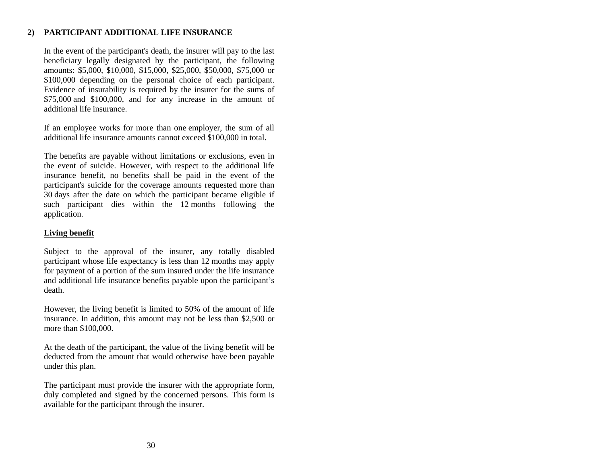## <span id="page-33-0"></span>**2) PARTICIPANT ADDITIONAL LIFE INSURANCE**

In the event of the participant's death, the insurer will pay to the last beneficiary legally designated by the participant, the following amounts: \$5,000, \$10,000, \$15,000, \$25,000, \$50,000, \$75,000 or \$100,000 depending on the personal choice of each participant. Evidence of insurability is required by the insurer for the sums of \$75,000 and \$100,000, and for any increase in the amount of additional life insurance.

If an employee works for more than one employer, the sum of all additional life insurance amounts cannot exceed \$100,000 in total.

The benefits are payable without limitations or exclusions, even in the event of suicide. However, with respect to the additional life insurance benefit, no benefits shall be paid in the event of the participant's suicide for the coverage amounts requested more than 30 days after the date on which the participant became eligible if such participant dies within the 12 months following the application.

## **Living benefit**

Subject to the approval of the insurer, any totally disabled participant whose life expectancy is less than 12 months may apply for payment of a portion of the sum insured under the life insurance and additional life insurance benefits payable upon the participant's death.

However, the living benefit is limited to 50% of the amount of life insurance. In addition, this amount may not be less than \$2,500 or more than \$100,000.

At the death of the participant, the value of the living benefit will be deducted from the amount that would otherwise have been payable under this plan.

The participant must provide the insurer with the appropriate form, duly completed and signed by the concerned persons. This form is available for the participant through the insurer.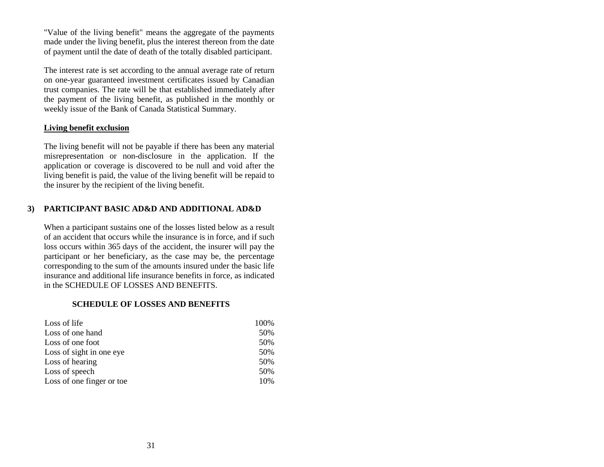"Value of the living benefit" means the aggregate of the payments made under the living benefit, plus the interest thereon from the date of payment until the date of death of the totally disabled participant.

The interest rate is set according to the annual average rate of return on one-year guaranteed investment certificates issued by Canadian trust companies. The rate will be that established immediately after the payment of the living benefit, as published in the monthly or weekly issue of the Bank of Canada Statistical Summary.

## **Living benefit exclusion**

The living benefit will not be payable if there has been any material misrepresentation or non-disclosure in the application. If the application or coverage is discovered to be null and void after the living benefit is paid, the value of the living benefit will be repaid to the insurer by the recipient of the living benefit.

## <span id="page-34-0"></span>**3) PARTICIPANT BASIC AD&D AND ADDITIONAL AD&D**

When a participant sustains one of the losses listed below as a result of an accident that occurs while the insurance is in force, and if such loss occurs within 365 days of the accident, the insurer will pay the participant or her beneficiary, as the case may be, the percentage corresponding to the sum of the amounts insured under the basic life insurance and additional life insurance benefits in force, as indicated in the SCHEDULE OF LOSSES AND BENEFITS.

#### **SCHEDULE OF LOSSES AND BENEFITS**

| Loss of life              | 100% |
|---------------------------|------|
| Loss of one hand          | 50%  |
| Loss of one foot          | 50%  |
| Loss of sight in one eye  | 50%  |
| Loss of hearing           | 50%  |
| Loss of speech            | 50%  |
| Loss of one finger or toe | 10%  |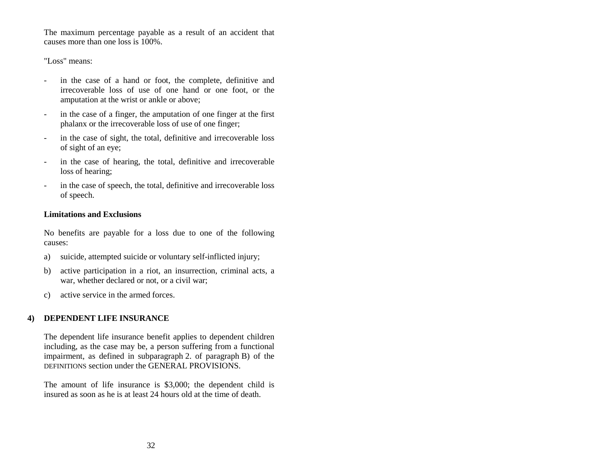The maximum percentage payable as a result of an accident that causes more than one loss is 100%.

"Loss" means:

- in the case of a hand or foot, the complete, definitive and irrecoverable loss of use of one hand or one foot, or the amputation at the wrist or ankle or above;
- in the case of a finger, the amputation of one finger at the first phalanx or the irrecoverable loss of use of one finger;
- in the case of sight, the total, definitive and irrecoverable loss of sight of an eye;
- in the case of hearing, the total, definitive and irrecoverable loss of hearing;
- in the case of speech, the total, definitive and irrecoverable loss of speech.

## **Limitations and Exclusions**

No benefits are payable for a loss due to one of the following causes:

- a) suicide, attempted suicide or voluntary self-inflicted injury;
- b) active participation in a riot, an insurrection, criminal acts, a war, whether declared or not, or a civil war;
- c) active service in the armed forces.

#### <span id="page-35-0"></span>**4) DEPENDENT LIFE INSURANCE**

The dependent life insurance benefit applies to dependent children including, as the case may be, a person suffering from a functional impairment, as defined in subparagraph 2. of paragraph B) of the DEFINITIONS section under the GENERAL PROVISIONS.

The amount of life insurance is \$3,000; the dependent child is insured as soon as he is at least 24 hours old at the time of death.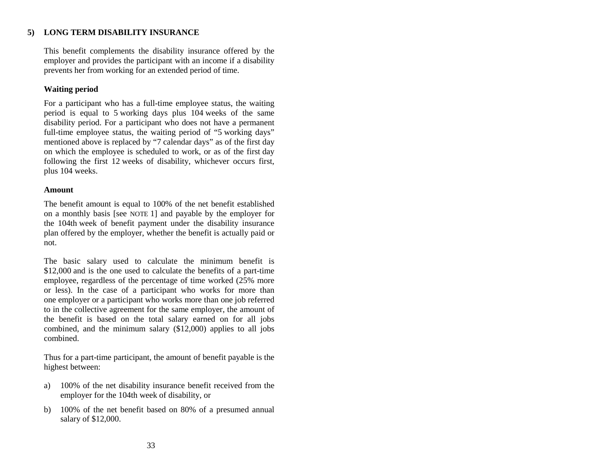# **5) LONG TERM DISABILITY INSURANCE**

This benefit complements the disability insurance offered by the employer and provides the participant with an income if a disability prevents her from working for an extended period of time.

## **Waiting period**

For a participant who has a full-time employee status, the waiting period is equal to 5 working days plus 104 weeks of the same disability period. For a participant who does not have a permanent full-time employee status, the waiting period of "5 working days" mentioned above is replaced by "7 calendar days" as of the first day on which the employee is scheduled to work, or as of the first day following the first 12 weeks of disability, whichever occurs first, plus 104 weeks.

## **Amount**

The benefit amount is equal to 100% of the net benefit established on a monthly basis [see NOTE 1] and payable by the employer for the 104th week of benefit payment under the disability insurance plan offered by the employer, whether the benefit is actually paid or not.

The basic salary used to calculate the minimum benefit is \$12,000 and is the one used to calculate the benefits of a part-time employee, regardless of the percentage of time worked (25% more or less). In the case of a participant who works for more than one employer or a participant who works more than one job referred to in the collective agreement for the same employer, the amount of the benefit is based on the total salary earned on for all jobs combined, and the minimum salary (\$12,000) applies to all jobs combined.

Thus for a part-time participant, the amount of benefit payable is the highest between:

- a) 100% of the net disability insurance benefit received from the employer for the 104th week of disability, or
- b) 100% of the net benefit based on 80% of a presumed annual salary of \$12,000.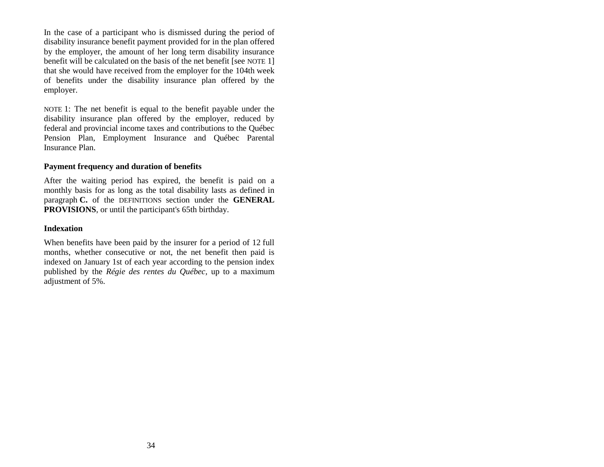In the case of a participant who is dismissed during the period of disability insurance benefit payment provided for in the plan offered by the employer, the amount of her long term disability insurance benefit will be calculated on the basis of the net benefit [see NOTE 1] that she would have received from the employer for the 104th week of benefits under the disability insurance plan offered by the employer.

NOTE 1: The net benefit is equal to the benefit payable under the disability insurance plan offered by the employer, reduced by federal and provincial income taxes and contributions to the Québec Pension Plan, Employment Insurance and Québec Parental Insurance Plan.

## **Payment frequency and duration of benefits**

After the waiting period has expired, the benefit is paid on a monthly basis for as long as the total disability lasts as defined in paragraph **C.** of the DEFINITIONS section under the **GENERAL PROVISIONS**, or until the participant's 65th birthday.

#### **Indexation**

When benefits have been paid by the insurer for a period of 12 full months, whether consecutive or not, the net benefit then paid is indexed on January 1st of each year according to the pension index published by the *Régie des rentes du Québec,* up to a maximum adjustment of 5%.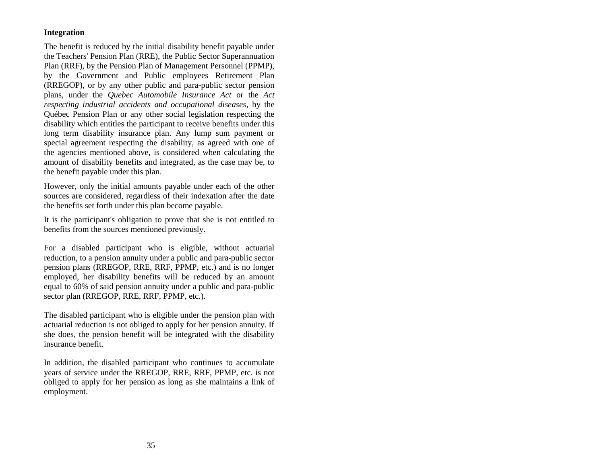# **Integration**

The benefit is reduced by the initial disability benefit payable under the Teachers' Pension Plan (RRE), the Public Sector Superannuation Plan (RRF), by the Pension Plan of Management Personnel (PPMP), by the Government and Public employees Retirement Plan (RREGOP), or by any other public and para-public sector pension plans, under the *Quebec Automobile Insurance Act* or the *Act respecting industrial accidents and occupational diseases*, by the Québec Pension Plan or any other social legislation respecting the disability which entitles the participant to receive benefits under this long term disability insurance plan. Any lump sum payment or special agreement respecting the disability, as agreed with one of the agencies mentioned above, is considered when calculating the amount of disability benefits and integrated, as the case may be, to the benefit payable under this plan.

However, only the initial amounts payable under each of the other sources are considered, regardless of their indexation after the date the benefits set forth under this plan become payable.

It is the participant's obligation to prove that she is not entitled to benefits from the sources mentioned previously.

For a disabled participant who is eligible, without actuarial reduction, to a pension annuity under a public and para-public sector pension plans (RREGOP, RRE, RRF, PPMP, etc.) and is no longer employed, her disability benefits will be reduced by an amount equal to 60% of said pension annuity under a public and para-public sector plan (RREGOP, RRE, RRF, PPMP, etc.).

The disabled participant who is eligible under the pension plan with actuarial reduction is not obliged to apply for her pension annuity. If she does, the pension benefit will be integrated with the disability insurance benefit.

In addition, the disabled participant who continues to accumulate years of service under the RREGOP, RRE, RRF, PPMP, etc. is not obliged to apply for her pension as long as she maintains a link of employment.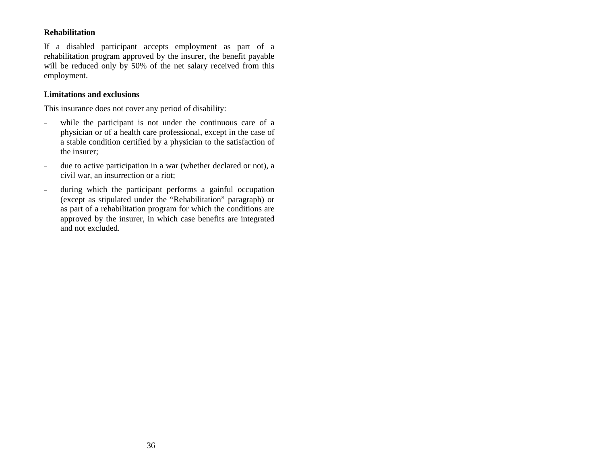## **Rehabilitation**

If a disabled participant accepts employment as part of a rehabilitation program approved by the insurer, the benefit payable will be reduced only by 50% of the net salary received from this employment.

## **Limitations and exclusions**

This insurance does not cover any period of disability:

- while the participant is not under the continuous care of a physician or of a health care professional, except in the case of a stable condition certified by a physician to the satisfaction of the insurer;
- due to active participation in a war (whether declared or not), a civil war, an insurrection or a riot;
- during which the participant performs a gainful occupation (except as stipulated under the "Rehabilitation" paragraph) or as part of a rehabilitation program for which the conditions are approved by the insurer, in which case benefits are integrated and not excluded.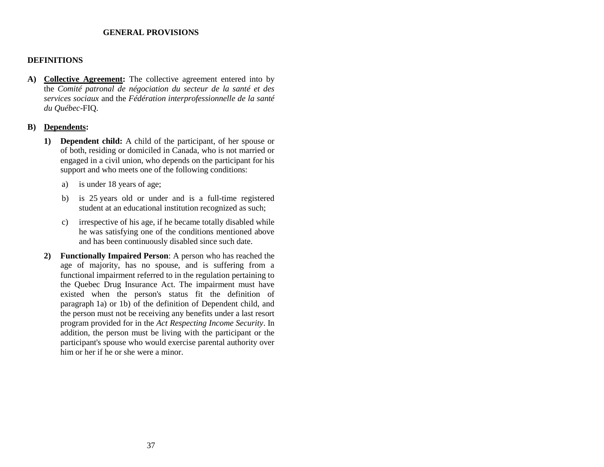#### **GENERAL PROVISIONS**

## **DEFINITIONS**

**A) Collective Agreement:** The collective agreement entered into by the *Comité patronal de négociation du secteur de la santé et des services sociaux* and the *Fédération interprofessionnelle de la santé du Québec*-FIQ.

## **B) Dependents:**

- **1) Dependent child:** A child of the participant, of her spouse or of both, residing or domiciled in Canada, who is not married or engaged in a civil union, who depends on the participant for his support and who meets one of the following conditions:
	- a) is under 18 years of age;
	- b) is 25 years old or under and is a full-time registered student at an educational institution recognized as such;
	- c) irrespective of his age, if he became totally disabled while he was satisfying one of the conditions mentioned above and has been continuously disabled since such date.
- **2) Functionally Impaired Person**: A person who has reached the age of majority, has no spouse, and is suffering from a functional impairment referred to in the regulation pertaining to the Quebec Drug Insurance Act. The impairment must have existed when the person's status fit the definition of paragraph 1a) or 1b) of the definition of Dependent child, and the person must not be receiving any benefits under a last resort program provided for in the *Act Respecting Income Security*. In addition, the person must be living with the participant or the participant's spouse who would exercise parental authority over him or her if he or she were a minor.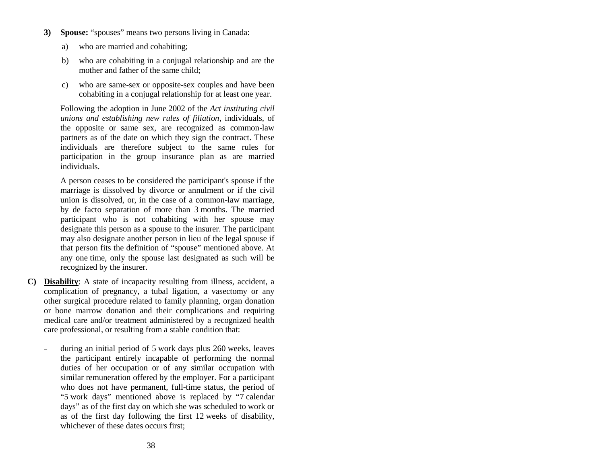- **3) Spouse:** "spouses" means two persons living in Canada:
	- a) who are married and cohabiting;
	- b) who are cohabiting in a conjugal relationship and are the mother and father of the same child;
	- c) who are same-sex or opposite-sex couples and have been cohabiting in a conjugal relationship for at least one year.

Following the adoption in June 2002 of the *Act instituting civil unions and establishing new rules of filiation*, individuals, of the opposite or same sex, are recognized as common-law partners as of the date on which they sign the contract. These individuals are therefore subject to the same rules for participation in the group insurance plan as are married individuals.

A person ceases to be considered the participant's spouse if the marriage is dissolved by divorce or annulment or if the civil union is dissolved, or, in the case of a common-law marriage, by de facto separation of more than 3 months. The married participant who is not cohabiting with her spouse may designate this person as a spouse to the insurer. The participant may also designate another person in lieu of the legal spouse if that person fits the definition of "spouse" mentioned above. At any one time, only the spouse last designated as such will be recognized by the insurer.

- **C) Disability**: A state of incapacity resulting from illness, accident, a complication of pregnancy, a tubal ligation, a vasectomy or any other surgical procedure related to family planning, organ donation or bone marrow donation and their complications and requiring medical care and/or treatment administered by a recognized health care professional, or resulting from a stable condition that:
	- during an initial period of 5 work days plus 260 weeks, leaves the participant entirely incapable of performing the normal duties of her occupation or of any similar occupation with similar remuneration offered by the employer. For a participant who does not have permanent, full-time status, the period of "5 work days" mentioned above is replaced by "7 calendar days" as of the first day on which she was scheduled to work or as of the first day following the first 12 weeks of disability, whichever of these dates occurs first: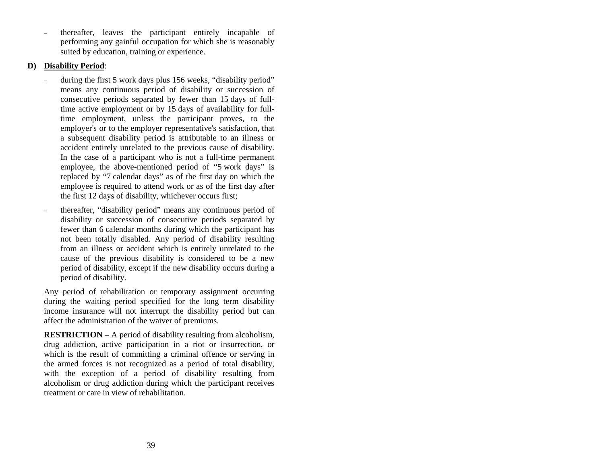thereafter, leaves the participant entirely incapable of performing any gainful occupation for which she is reasonably suited by education, training or experience.

## **D) Disability Period**:

- during the first 5 work days plus 156 weeks, "disability period" means any continuous period of disability or succession of consecutive periods separated by fewer than 15 days of fulltime active employment or by 15 days of availability for fulltime employment, unless the participant proves, to the employer's or to the employer representative's satisfaction, that a subsequent disability period is attributable to an illness or accident entirely unrelated to the previous cause of disability. In the case of a participant who is not a full-time permanent employee, the above-mentioned period of "5 work days" is replaced by "7 calendar days" as of the first day on which the employee is required to attend work or as of the first day after the first 12 days of disability, whichever occurs first;
- thereafter, "disability period" means any continuous period of disability or succession of consecutive periods separated by fewer than 6 calendar months during which the participant has not been totally disabled. Any period of disability resulting from an illness or accident which is entirely unrelated to the cause of the previous disability is considered to be a new period of disability, except if the new disability occurs during a period of disability.

Any period of rehabilitation or temporary assignment occurring during the waiting period specified for the long term disability income insurance will not interrupt the disability period but can affect the administration of the waiver of premiums.

**RESTRICTION** – A period of disability resulting from alcoholism, drug addiction, active participation in a riot or insurrection, or which is the result of committing a criminal offence or serving in the armed forces is not recognized as a period of total disability, with the exception of a period of disability resulting from alcoholism or drug addiction during which the participant receives treatment or care in view of rehabilitation.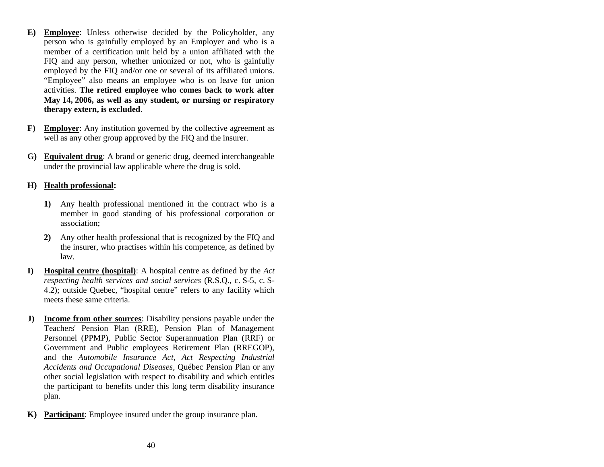- **E) Employee**: Unless otherwise decided by the Policyholder, any person who is gainfully employed by an Employer and who is a member of a certification unit held by a union affiliated with the FIQ and any person, whether unionized or not, who is gainfully employed by the FIQ and/or one or several of its affiliated unions. "Employee" also means an employee who is on leave for union activities. **The retired employee who comes back to work after May 14, 2006, as well as any student, or nursing or respiratory therapy extern, is excluded**.
- **F) Employer**: Any institution governed by the collective agreement as well as any other group approved by the FIQ and the insurer.
- **G) Equivalent drug**: A brand or generic drug, deemed interchangeable under the provincial law applicable where the drug is sold.

## **H) Health professional:**

- **1)** Any health professional mentioned in the contract who is a member in good standing of his professional corporation or association;
- **2)** Any other health professional that is recognized by the FIQ and the insurer, who practises within his competence, as defined by law.
- **I) Hospital centre (hospital)**: A hospital centre as defined by the *Act respecting health services and social services* (R.S.Q., c. S-5, c. S-4.2); outside Quebec, "hospital centre" refers to any facility which meets these same criteria.
- **J) Income from other sources**: Disability pensions payable under the Teachers' Pension Plan (RRE), Pension Plan of Management Personnel (PPMP), Public Sector Superannuation Plan (RRF) or Government and Public employees Retirement Plan (RREGOP), and the *Automobile Insurance Act*, *Act Respecting Industrial Accidents and Occupational Diseases*, Québec Pension Plan or any other social legislation with respect to disability and which entitles the participant to benefits under this long term disability insurance plan.
- **K) Participant**: Employee insured under the group insurance plan.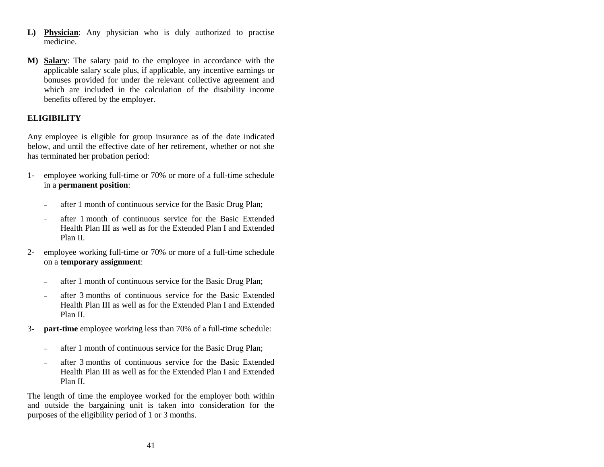- **L) Physician**: Any physician who is duly authorized to practise medicine.
- **M) Salary**: The salary paid to the employee in accordance with the applicable salary scale plus, if applicable, any incentive earnings or bonuses provided for under the relevant collective agreement and which are included in the calculation of the disability income benefits offered by the employer.

## **ELIGIBILITY**

Any employee is eligible for group insurance as of the date indicated below, and until the effective date of her retirement, whether or not she has terminated her probation period:

- 1- employee working full-time or 70% or more of a full-time schedule in a **permanent position**:
	- after 1 month of continuous service for the Basic Drug Plan;
	- after 1 month of continuous service for the Basic Extended Health Plan III as well as for the Extended Plan I and Extended Plan II.
- 2- employee working full-time or 70% or more of a full-time schedule on a **temporary assignment**:
	- after 1 month of continuous service for the Basic Drug Plan;
	- after 3 months of continuous service for the Basic Extended Health Plan III as well as for the Extended Plan I and Extended Plan II.
- 3- **part-time** employee working less than 70% of a full-time schedule:
	- after 1 month of continuous service for the Basic Drug Plan;
	- after 3 months of continuous service for the Basic Extended Health Plan III as well as for the Extended Plan I and Extended Plan II.

The length of time the employee worked for the employer both within and outside the bargaining unit is taken into consideration for the purposes of the eligibility period of 1 or 3 months.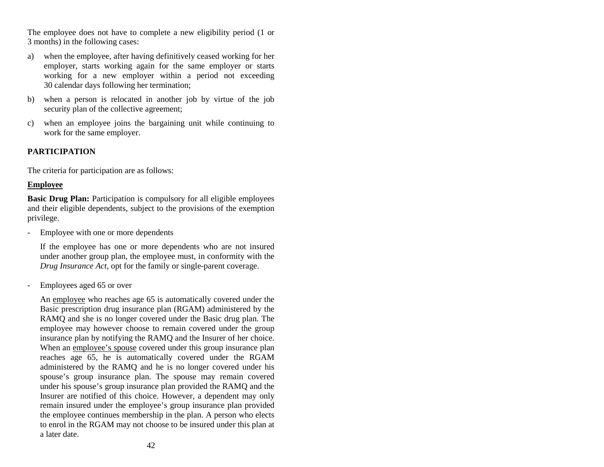The employee does not have to complete a new eligibility period (1 or 3 months) in the following cases:

- a) when the employee, after having definitively ceased working for her employer, starts working again for the same employer or starts working for a new employer within a period not exceeding 30 calendar days following her termination;
- b) when a person is relocated in another job by virtue of the job security plan of the collective agreement;
- c) when an employee joins the bargaining unit while continuing to work for the same employer.

## **PARTICIPATION**

The criteria for participation are as follows:

#### **Employee**

**Basic Drug Plan:** Participation is compulsory for all eligible employees and their eligible dependents, subject to the provisions of the exemption privilege.

Employee with one or more dependents

If the employee has one or more dependents who are not insured under another group plan, the employee must, in conformity with the *Drug Insurance Act*, opt for the family or single-parent coverage.

Employees aged 65 or over

An employee who reaches age 65 is automatically covered under the Basic prescription drug insurance plan (RGAM) administered by the RAMQ and she is no longer covered under the Basic drug plan. The employee may however choose to remain covered under the group insurance plan by notifying the RAMQ and the Insurer of her choice. When an employee's spouse covered under this group insurance plan reaches age 65, he is automatically covered under the RGAM administered by the RAMQ and he is no longer covered under his spouse's group insurance plan. The spouse may remain covered under his spouse's group insurance plan provided the RAMQ and the Insurer are notified of this choice. However, a dependent may only remain insured under the employee's group insurance plan provided the employee continues membership in the plan. A person who elects to enrol in the RGAM may not choose to be insured under this plan at a later date.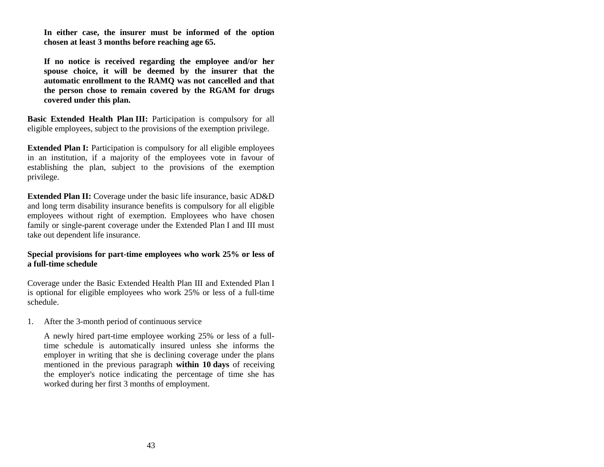**In either case, the insurer must be informed of the option chosen at least 3 months before reaching age 65.**

**If no notice is received regarding the employee and/or her spouse choice, it will be deemed by the insurer that the automatic enrollment to the RAMQ was not cancelled and that the person chose to remain covered by the RGAM for drugs covered under this plan.**

**Basic Extended Health Plan III:** Participation is compulsory for all eligible employees, subject to the provisions of the exemption privilege.

**Extended Plan I:** Participation is compulsory for all eligible employees in an institution, if a majority of the employees vote in favour of establishing the plan, subject to the provisions of the exemption privilege.

**Extended Plan II:** Coverage under the basic life insurance, basic AD&D and long term disability insurance benefits is compulsory for all eligible employees without right of exemption. Employees who have chosen family or single-parent coverage under the Extended Plan I and III must take out dependent life insurance.

## **Special provisions for part-time employees who work 25% or less of a full-time schedule**

Coverage under the Basic Extended Health Plan III and Extended Plan I is optional for eligible employees who work 25% or less of a full-time schedule.

1. After the 3-month period of continuous service

A newly hired part-time employee working 25% or less of a fulltime schedule is automatically insured unless she informs the employer in writing that she is declining coverage under the plans mentioned in the previous paragraph **within 10 days** of receiving the employer's notice indicating the percentage of time she has worked during her first 3 months of employment.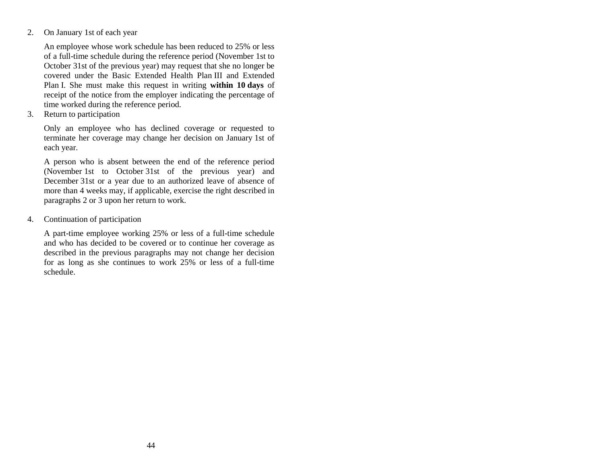2. On January 1st of each year

An employee whose work schedule has been reduced to 25% or less of a full-time schedule during the reference period (November 1st to October 31st of the previous year) may request that she no longer be covered under the Basic Extended Health Plan III and Extended Plan I. She must make this request in writing **within 10 days** of receipt of the notice from the employer indicating the percentage of time worked during the reference period.

3. Return to participation

Only an employee who has declined coverage or requested to terminate her coverage may change her decision on January 1st of each year.

A person who is absent between the end of the reference period (November 1st to October 31st of the previous year) and December 31st or a year due to an authorized leave of absence of more than 4 weeks may, if applicable, exercise the right described in paragraphs 2 or 3 upon her return to work.

4. Continuation of participation

A part-time employee working 25% or less of a full-time schedule and who has decided to be covered or to continue her coverage as described in the previous paragraphs may not change her decision for as long as she continues to work 25% or less of a full-time schedule.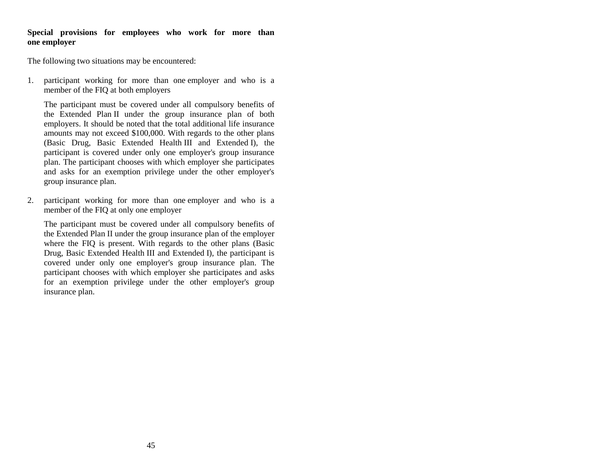#### **Special provisions for employees who work for more than one employer**

The following two situations may be encountered:

1. participant working for more than one employer and who is a member of the FIQ at both employers

The participant must be covered under all compulsory benefits of the Extended Plan II under the group insurance plan of both employers. It should be noted that the total additional life insurance amounts may not exceed \$100,000. With regards to the other plans (Basic Drug, Basic Extended Health III and Extended I), the participant is covered under only one employer's group insurance plan. The participant chooses with which employer she participates and asks for an exemption privilege under the other employer's group insurance plan.

2. participant working for more than one employer and who is a member of the FIQ at only one employer

The participant must be covered under all compulsory benefits of the Extended Plan II under the group insurance plan of the employer where the FIQ is present. With regards to the other plans (Basic Drug, Basic Extended Health III and Extended I), the participant is covered under only one employer's group insurance plan. The participant chooses with which employer she participates and asks for an exemption privilege under the other employer's group insurance plan.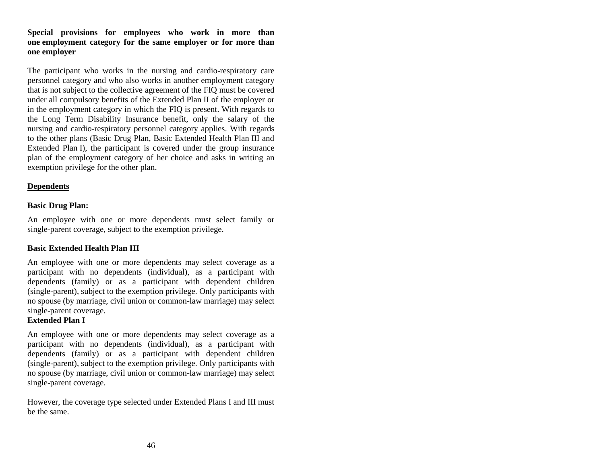#### **Special provisions for employees who work in more than one employment category for the same employer or for more than one employer**

The participant who works in the nursing and cardio-respiratory care personnel category and who also works in another employment category that is not subject to the collective agreement of the FIQ must be covered under all compulsory benefits of the Extended Plan II of the employer or in the employment category in which the FIQ is present. With regards to the Long Term Disability Insurance benefit, only the salary of the nursing and cardio-respiratory personnel category applies. With regards to the other plans (Basic Drug Plan, Basic Extended Health Plan III and Extended Plan I), the participant is covered under the group insurance plan of the employment category of her choice and asks in writing an exemption privilege for the other plan.

## **Dependents**

## **Basic Drug Plan:**

An employee with one or more dependents must select family or single-parent coverage, subject to the exemption privilege.

## **Basic Extended Health Plan III**

An employee with one or more dependents may select coverage as a participant with no dependents (individual), as a participant with dependents (family) or as a participant with dependent children (single-parent), subject to the exemption privilege. Only participants with no spouse (by marriage, civil union or common-law marriage) may select single-parent coverage.

## **Extended Plan I**

An employee with one or more dependents may select coverage as a participant with no dependents (individual), as a participant with dependents (family) or as a participant with dependent children (single-parent), subject to the exemption privilege. Only participants with no spouse (by marriage, civil union or common-law marriage) may select single-parent coverage.

However, the coverage type selected under Extended Plans I and III must be the same.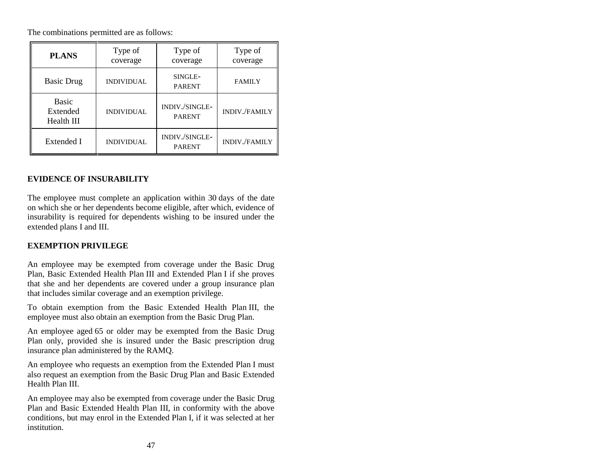The combinations permitted are as follows:

| <b>PLANS</b>                           | Type of<br>coverage | Type of<br>coverage             | Type of<br>coverage  |
|----------------------------------------|---------------------|---------------------------------|----------------------|
| <b>Basic Drug</b>                      | <b>INDIVIDUAL</b>   | SINGLE-<br><b>PARENT</b>        | <b>FAMILY</b>        |
| <b>Basic</b><br>Extended<br>Health III | <b>INDIVIDUAL</b>   | INDIV./SINGLE-<br><b>PARENT</b> | <b>INDIV./FAMILY</b> |
| Extended I                             | <b>INDIVIDUAL</b>   | INDIV./SINGLE-<br><b>PARENT</b> | <b>INDIV./FAMILY</b> |

# **EVIDENCE OF INSURABILITY**

The employee must complete an application within 30 days of the date on which she or her dependents become eligible, after which, evidence of insurability is required for dependents wishing to be insured under the extended plans I and III.

## **EXEMPTION PRIVILEGE**

An employee may be exempted from coverage under the Basic Drug Plan, Basic Extended Health Plan III and Extended Plan I if she proves that she and her dependents are covered under a group insurance plan that includes similar coverage and an exemption privilege.

To obtain exemption from the Basic Extended Health Plan III, the employee must also obtain an exemption from the Basic Drug Plan.

An employee aged 65 or older may be exempted from the Basic Drug Plan only, provided she is insured under the Basic prescription drug insurance plan administered by the RAMQ.

An employee who requests an exemption from the Extended Plan I must also request an exemption from the Basic Drug Plan and Basic Extended Health Plan III.

An employee may also be exempted from coverage under the Basic Drug Plan and Basic Extended Health Plan III, in conformity with the above conditions, but may enrol in the Extended Plan I, if it was selected at her institution.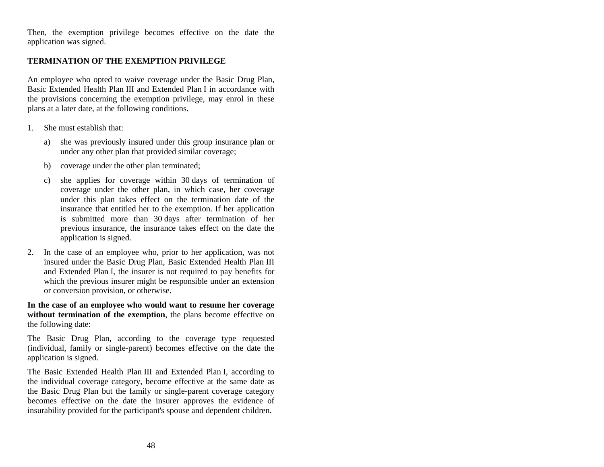Then, the exemption privilege becomes effective on the date the application was signed.

#### **TERMINATION OF THE EXEMPTION PRIVILEGE**

An employee who opted to waive coverage under the Basic Drug Plan, Basic Extended Health Plan III and Extended Plan I in accordance with the provisions concerning the exemption privilege, may enrol in these plans at a later date, at the following conditions.

- 1. She must establish that:
	- a) she was previously insured under this group insurance plan or under any other plan that provided similar coverage;
	- b) coverage under the other plan terminated;
	- c) she applies for coverage within 30 days of termination of coverage under the other plan, in which case, her coverage under this plan takes effect on the termination date of the insurance that entitled her to the exemption. If her application is submitted more than 30 days after termination of her previous insurance, the insurance takes effect on the date the application is signed.
- 2. In the case of an employee who, prior to her application, was not insured under the Basic Drug Plan, Basic Extended Health Plan III and Extended Plan I, the insurer is not required to pay benefits for which the previous insurer might be responsible under an extension or conversion provision, or otherwise.

**In the case of an employee who would want to resume her coverage without termination of the exemption**, the plans become effective on the following date:

The Basic Drug Plan, according to the coverage type requested (individual, family or single-parent) becomes effective on the date the application is signed.

The Basic Extended Health Plan III and Extended Plan I, according to the individual coverage category, become effective at the same date as the Basic Drug Plan but the family or single-parent coverage category becomes effective on the date the insurer approves the evidence of insurability provided for the participant's spouse and dependent children.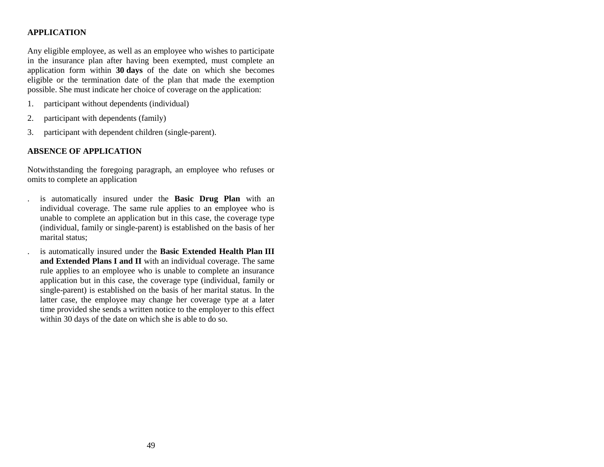## **APPLICATION**

Any eligible employee, as well as an employee who wishes to participate in the insurance plan after having been exempted, must complete an application form within **30 days** of the date on which she becomes eligible or the termination date of the plan that made the exemption possible. She must indicate her choice of coverage on the application:

- 1. participant without dependents (individual)
- 2. participant with dependents (family)
- 3. participant with dependent children (single-parent).

# **ABSENCE OF APPLICATION**

Notwithstanding the foregoing paragraph, an employee who refuses or omits to complete an application

- . is automatically insured under the **Basic Drug Plan** with an individual coverage. The same rule applies to an employee who is unable to complete an application but in this case, the coverage type (individual, family or single-parent) is established on the basis of her marital status;
- . is automatically insured under the **Basic Extended Health Plan III and Extended Plans I and II** with an individual coverage. The same rule applies to an employee who is unable to complete an insurance application but in this case, the coverage type (individual, family or single-parent) is established on the basis of her marital status. In the latter case, the employee may change her coverage type at a later time provided she sends a written notice to the employer to this effect within 30 days of the date on which she is able to do so.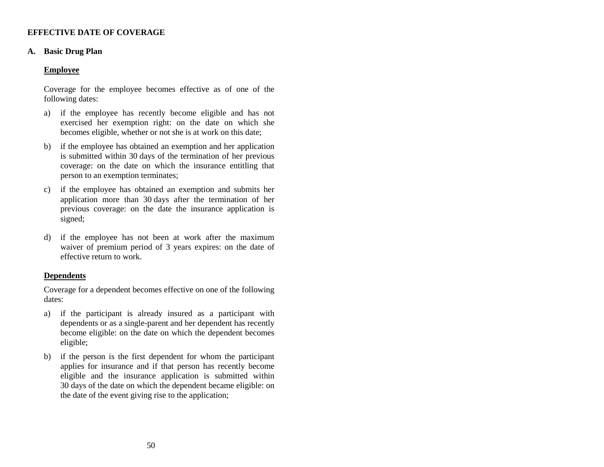## **EFFECTIVE DATE OF COVERAGE**

#### **A. Basic Drug Plan**

## **Employee**

Coverage for the employee becomes effective as of one of the following dates:

- a) if the employee has recently become eligible and has not exercised her exemption right: on the date on which she becomes eligible, whether or not she is at work on this date;
- b) if the employee has obtained an exemption and her application is submitted within 30 days of the termination of her previous coverage: on the date on which the insurance entitling that person to an exemption terminates;
- c) if the employee has obtained an exemption and submits her application more than 30 days after the termination of her previous coverage: on the date the insurance application is signed;
- d) if the employee has not been at work after the maximum waiver of premium period of 3 years expires: on the date of effective return to work.

## **Dependents**

Coverage for a dependent becomes effective on one of the following dates:

- a) if the participant is already insured as a participant with dependents or as a single-parent and her dependent has recently become eligible: on the date on which the dependent becomes eligible;
- b) if the person is the first dependent for whom the participant applies for insurance and if that person has recently become eligible and the insurance application is submitted within 30 days of the date on which the dependent became eligible: on the date of the event giving rise to the application;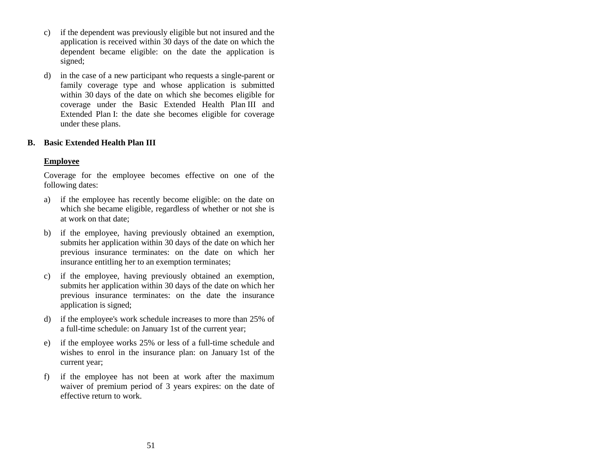- c) if the dependent was previously eligible but not insured and the application is received within 30 days of the date on which the dependent became eligible: on the date the application is signed;
- d) in the case of a new participant who requests a single-parent or family coverage type and whose application is submitted within 30 days of the date on which she becomes eligible for coverage under the Basic Extended Health Plan III and Extended Plan I: the date she becomes eligible for coverage under these plans.

## **B. Basic Extended Health Plan III**

## **Employee**

Coverage for the employee becomes effective on one of the following dates:

- a) if the employee has recently become eligible: on the date on which she became eligible, regardless of whether or not she is at work on that date;
- b) if the employee, having previously obtained an exemption, submits her application within 30 days of the date on which her previous insurance terminates: on the date on which her insurance entitling her to an exemption terminates;
- c) if the employee, having previously obtained an exemption, submits her application within 30 days of the date on which her previous insurance terminates: on the date the insurance application is signed;
- d) if the employee's work schedule increases to more than 25% of a full-time schedule: on January 1st of the current year;
- e) if the employee works 25% or less of a full-time schedule and wishes to enrol in the insurance plan: on January 1st of the current year;
- f) if the employee has not been at work after the maximum waiver of premium period of 3 years expires: on the date of effective return to work.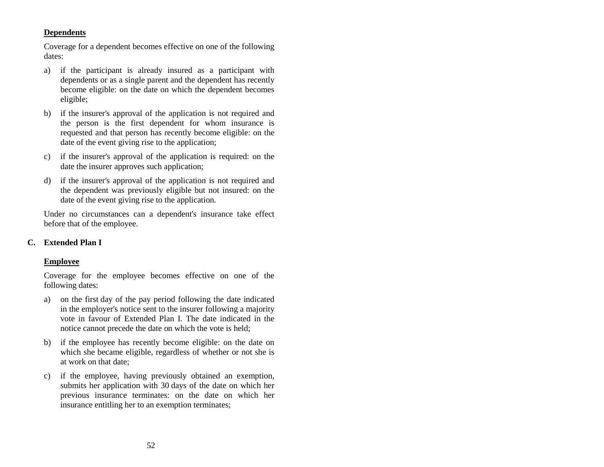# **Dependents**

Coverage for a dependent becomes effective on one of the following dates:

- a) if the participant is already insured as a participant with dependents or as a single parent and the dependent has recently become eligible: on the date on which the dependent becomes eligible;
- b) if the insurer's approval of the application is not required and the person is the first dependent for whom insurance is requested and that person has recently become eligible: on the date of the event giving rise to the application;
- c) if the insurer's approval of the application is required: on the date the insurer approves such application;
- d) if the insurer's approval of the application is not required and the dependent was previously eligible but not insured: on the date of the event giving rise to the application.

Under no circumstances can a dependent's insurance take effect before that of the employee.

## **C. Extended Plan I**

## **Employee**

Coverage for the employee becomes effective on one of the following dates:

- a) on the first day of the pay period following the date indicated in the employer's notice sent to the insurer following a majority vote in favour of Extended Plan I. The date indicated in the notice cannot precede the date on which the vote is held;
- b) if the employee has recently become eligible: on the date on which she became eligible, regardless of whether or not she is at work on that date;
- c) if the employee, having previously obtained an exemption, submits her application with 30 days of the date on which her previous insurance terminates: on the date on which her insurance entitling her to an exemption terminates;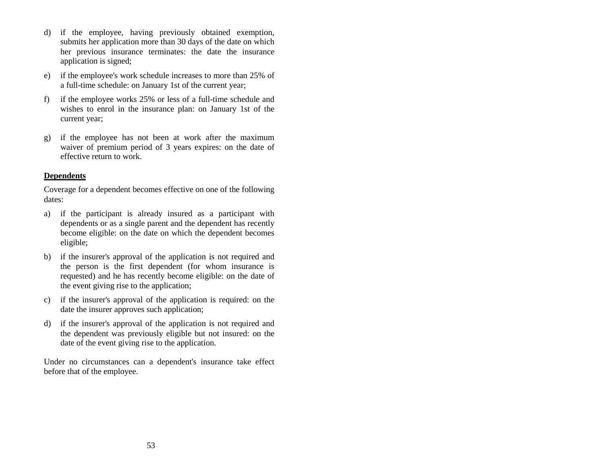- d) if the employee, having previously obtained exemption, submits her application more than 30 days of the date on which her previous insurance terminates: the date the insurance application is signed;
- e) if the employee's work schedule increases to more than 25% of a full-time schedule: on January 1st of the current year;
- f) if the employee works 25% or less of a full-time schedule and wishes to enrol in the insurance plan: on January 1st of the current year;
- g) if the employee has not been at work after the maximum waiver of premium period of 3 years expires: on the date of effective return to work.

# **Dependents**

Coverage for a dependent becomes effective on one of the following dates:

- a) if the participant is already insured as a participant with dependents or as a single parent and the dependent has recently become eligible: on the date on which the dependent becomes eligible;
- b) if the insurer's approval of the application is not required and the person is the first dependent (for whom insurance is requested) and he has recently become eligible: on the date of the event giving rise to the application;
- c) if the insurer's approval of the application is required: on the date the insurer approves such application;
- d) if the insurer's approval of the application is not required and the dependent was previously eligible but not insured: on the date of the event giving rise to the application.

Under no circumstances can a dependent's insurance take effect before that of the employee.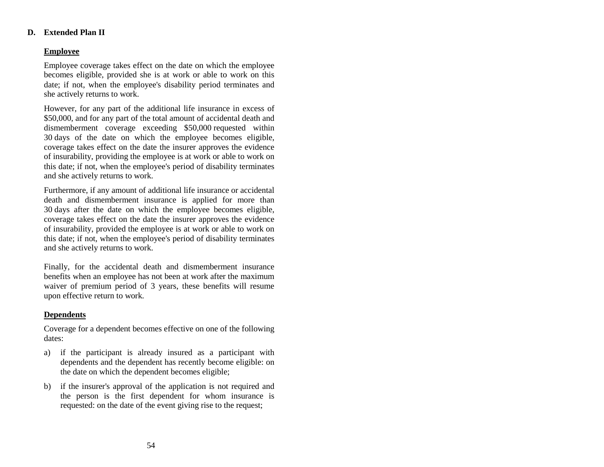## **D. Extended Plan II**

## **Employee**

Employee coverage takes effect on the date on which the employee becomes eligible, provided she is at work or able to work on this date; if not, when the employee's disability period terminates and she actively returns to work.

However, for any part of the additional life insurance in excess of \$50,000, and for any part of the total amount of accidental death and dismemberment coverage exceeding \$50,000 requested within 30 days of the date on which the employee becomes eligible, coverage takes effect on the date the insurer approves the evidence of insurability, providing the employee is at work or able to work on this date; if not, when the employee's period of disability terminates and she actively returns to work.

Furthermore, if any amount of additional life insurance or accidental death and dismemberment insurance is applied for more than 30 days after the date on which the employee becomes eligible, coverage takes effect on the date the insurer approves the evidence of insurability, provided the employee is at work or able to work on this date; if not, when the employee's period of disability terminates and she actively returns to work.

Finally, for the accidental death and dismemberment insurance benefits when an employee has not been at work after the maximum waiver of premium period of 3 years, these benefits will resume upon effective return to work.

# **Dependents**

Coverage for a dependent becomes effective on one of the following dates:

- a) if the participant is already insured as a participant with dependents and the dependent has recently become eligible: on the date on which the dependent becomes eligible;
- b) if the insurer's approval of the application is not required and the person is the first dependent for whom insurance is requested: on the date of the event giving rise to the request;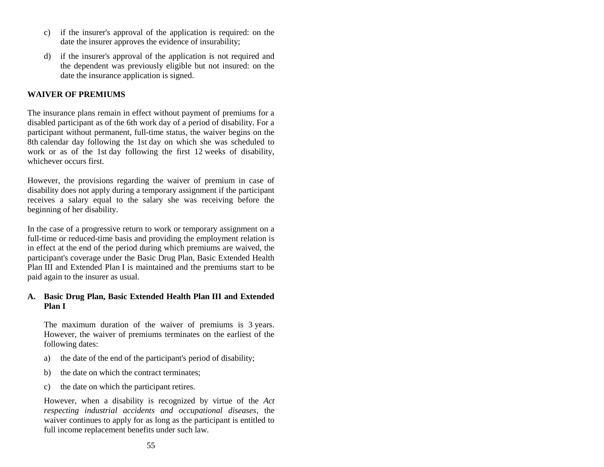- c) if the insurer's approval of the application is required: on the date the insurer approves the evidence of insurability;
- d) if the insurer's approval of the application is not required and the dependent was previously eligible but not insured: on the date the insurance application is signed.

#### **WAIVER OF PREMIUMS**

The insurance plans remain in effect without payment of premiums for a disabled participant as of the 6th work day of a period of disability. For a participant without permanent, full-time status, the waiver begins on the 8th calendar day following the 1st day on which she was scheduled to work or as of the 1st day following the first 12 weeks of disability, whichever occurs first.

However, the provisions regarding the waiver of premium in case of disability does not apply during a temporary assignment if the participant receives a salary equal to the salary she was receiving before the beginning of her disability.

In the case of a progressive return to work or temporary assignment on a full-time or reduced-time basis and providing the employment relation is in effect at the end of the period during which premiums are waived, the participant's coverage under the Basic Drug Plan, Basic Extended Health Plan III and Extended Plan I is maintained and the premiums start to be paid again to the insurer as usual.

#### **A. Basic Drug Plan, Basic Extended Health Plan III and Extended Plan I**

The maximum duration of the waiver of premiums is 3 years. However, the waiver of premiums terminates on the earliest of the following dates:

- a) the date of the end of the participant's period of disability;
- b) the date on which the contract terminates;
- c) the date on which the participant retires.

However, when a disability is recognized by virtue of the *Act respecting industrial accidents and occupational diseases*, the waiver continues to apply for as long as the participant is entitled to full income replacement benefits under such law.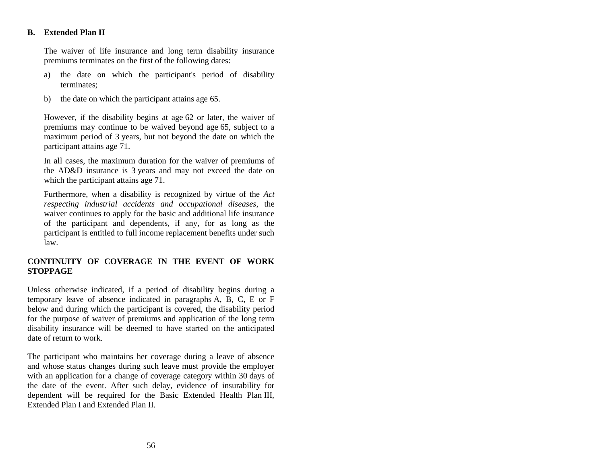## **B. Extended Plan II**

The waiver of life insurance and long term disability insurance premiums terminates on the first of the following dates:

- a) the date on which the participant's period of disability terminates;
- b) the date on which the participant attains age 65.

However, if the disability begins at age 62 or later, the waiver of premiums may continue to be waived beyond age 65, subject to a maximum period of 3 years, but not beyond the date on which the participant attains age 71.

In all cases, the maximum duration for the waiver of premiums of the AD&D insurance is 3 years and may not exceed the date on which the participant attains age 71.

Furthermore, when a disability is recognized by virtue of the *Act respecting industrial accidents and occupational diseases*, the waiver continues to apply for the basic and additional life insurance of the participant and dependents, if any, for as long as the participant is entitled to full income replacement benefits under such law.

## **CONTINUITY OF COVERAGE IN THE EVENT OF WORK STOPPAGE**

Unless otherwise indicated, if a period of disability begins during a temporary leave of absence indicated in paragraphs A, B, C, E or F below and during which the participant is covered, the disability period for the purpose of waiver of premiums and application of the long term disability insurance will be deemed to have started on the anticipated date of return to work.

The participant who maintains her coverage during a leave of absence and whose status changes during such leave must provide the employer with an application for a change of coverage category within 30 days of the date of the event. After such delay, evidence of insurability for dependent will be required for the Basic Extended Health Plan III, Extended Plan I and Extended Plan II.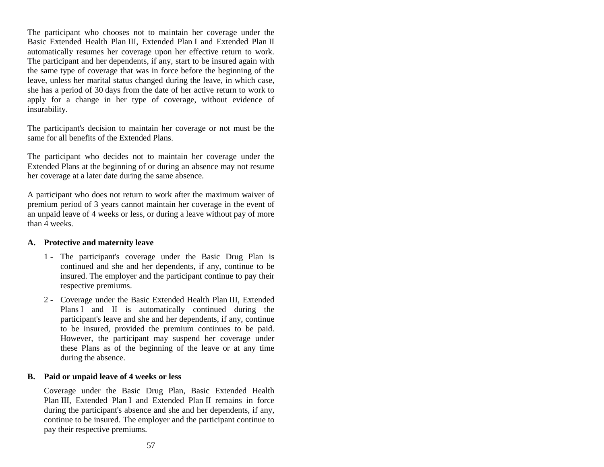The participant who chooses not to maintain her coverage under the Basic Extended Health Plan III, Extended Plan I and Extended Plan II automatically resumes her coverage upon her effective return to work. The participant and her dependents, if any, start to be insured again with the same type of coverage that was in force before the beginning of the leave, unless her marital status changed during the leave, in which case, she has a period of 30 days from the date of her active return to work to apply for a change in her type of coverage, without evidence of insurability.

The participant's decision to maintain her coverage or not must be the same for all benefits of the Extended Plans.

The participant who decides not to maintain her coverage under the Extended Plans at the beginning of or during an absence may not resume her coverage at a later date during the same absence.

A participant who does not return to work after the maximum waiver of premium period of 3 years cannot maintain her coverage in the event of an unpaid leave of 4 weeks or less, or during a leave without pay of more than 4 weeks.

#### **A. Protective and maternity leave**

- 1 The participant's coverage under the Basic Drug Plan is continued and she and her dependents, if any, continue to be insured. The employer and the participant continue to pay their respective premiums.
- 2 Coverage under the Basic Extended Health Plan III, Extended Plans I and II is automatically continued during the participant's leave and she and her dependents, if any, continue to be insured, provided the premium continues to be paid. However, the participant may suspend her coverage under these Plans as of the beginning of the leave or at any time during the absence.

## **B. Paid or unpaid leave of 4 weeks or less**

Coverage under the Basic Drug Plan, Basic Extended Health Plan III, Extended Plan I and Extended Plan II remains in force during the participant's absence and she and her dependents, if any, continue to be insured. The employer and the participant continue to pay their respective premiums.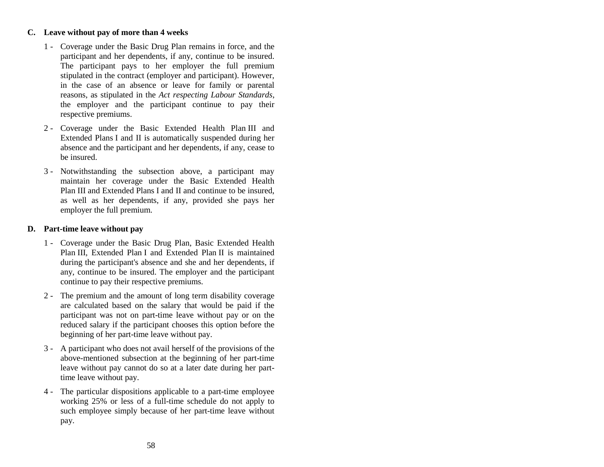## **C. Leave without pay of more than 4 weeks**

- 1 Coverage under the Basic Drug Plan remains in force, and the participant and her dependents, if any, continue to be insured. The participant pays to her employer the full premium stipulated in the contract (employer and participant). However, in the case of an absence or leave for family or parental reasons, as stipulated in the *Act respecting Labour Standards*, the employer and the participant continue to pay their respective premiums.
- 2 Coverage under the Basic Extended Health Plan III and Extended Plans I and II is automatically suspended during her absence and the participant and her dependents, if any, cease to be insured.
- 3 Notwithstanding the subsection above, a participant may maintain her coverage under the Basic Extended Health Plan III and Extended Plans I and II and continue to be insured, as well as her dependents, if any, provided she pays her employer the full premium.

#### **D. Part-time leave without pay**

- 1 Coverage under the Basic Drug Plan, Basic Extended Health Plan III, Extended Plan I and Extended Plan II is maintained during the participant's absence and she and her dependents, if any, continue to be insured. The employer and the participant continue to pay their respective premiums.
- 2 The premium and the amount of long term disability coverage are calculated based on the salary that would be paid if the participant was not on part-time leave without pay or on the reduced salary if the participant chooses this option before the beginning of her part-time leave without pay.
- 3 A participant who does not avail herself of the provisions of the above-mentioned subsection at the beginning of her part-time leave without pay cannot do so at a later date during her parttime leave without pay.
- 4 The particular dispositions applicable to a part-time employee working 25% or less of a full-time schedule do not apply to such employee simply because of her part-time leave without pay.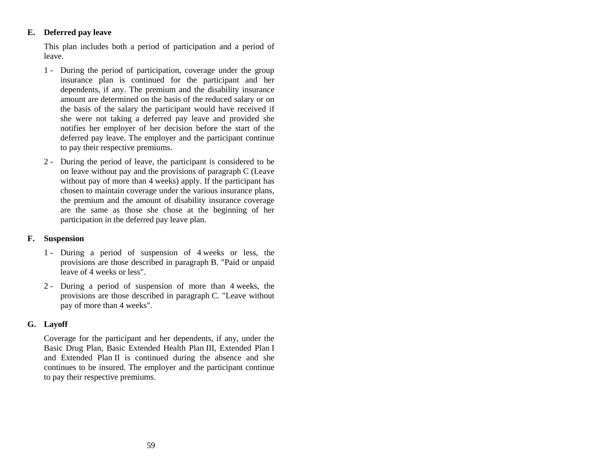## **E. Deferred pay leave**

This plan includes both a period of participation and a period of leave.

- 1 During the period of participation, coverage under the group insurance plan is continued for the participant and her dependents, if any. The premium and the disability insurance amount are determined on the basis of the reduced salary or on the basis of the salary the participant would have received if she were not taking a deferred pay leave and provided she notifies her employer of her decision before the start of the deferred pay leave. The employer and the participant continue to pay their respective premiums.
- 2 During the period of leave, the participant is considered to be on leave without pay and the provisions of paragraph C (Leave without pay of more than 4 weeks) apply. If the participant has chosen to maintain coverage under the various insurance plans, the premium and the amount of disability insurance coverage are the same as those she chose at the beginning of her participation in the deferred pay leave plan.

## **F. Suspension**

- 1 During a period of suspension of 4 weeks or less, the provisions are those described in paragraph B. "Paid or unpaid leave of 4 weeks or less".
- 2 During a period of suspension of more than 4 weeks, the provisions are those described in paragraph C. "Leave without pay of more than 4 weeks".

## **G. Layoff**

Coverage for the participant and her dependents, if any, under the Basic Drug Plan, Basic Extended Health Plan III, Extended Plan I and Extended Plan II is continued during the absence and she continues to be insured. The employer and the participant continue to pay their respective premiums.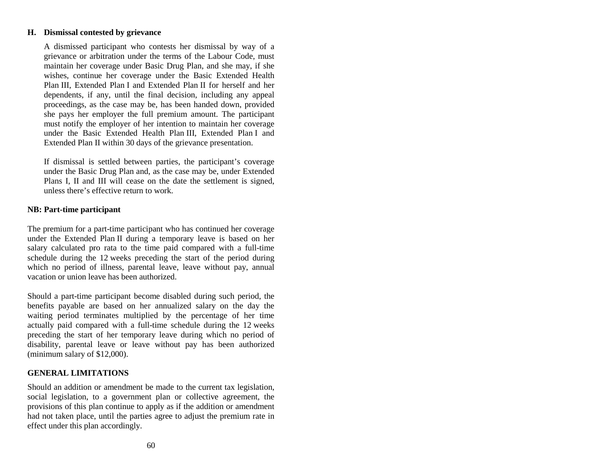#### **H. Dismissal contested by grievance**

A dismissed participant who contests her dismissal by way of a grievance or arbitration under the terms of the Labour Code, must maintain her coverage under Basic Drug Plan, and she may, if she wishes, continue her coverage under the Basic Extended Health Plan III, Extended Plan I and Extended Plan II for herself and her dependents, if any, until the final decision, including any appeal proceedings, as the case may be, has been handed down, provided she pays her employer the full premium amount. The participant must notify the employer of her intention to maintain her coverage under the Basic Extended Health Plan III, Extended Plan I and Extended Plan II within 30 days of the grievance presentation.

If dismissal is settled between parties, the participant's coverage under the Basic Drug Plan and, as the case may be, under Extended Plans I, II and III will cease on the date the settlement is signed, unless there's effective return to work.

## **NB: Part-time participant**

The premium for a part-time participant who has continued her coverage under the Extended Plan II during a temporary leave is based on her salary calculated pro rata to the time paid compared with a full-time schedule during the 12 weeks preceding the start of the period during which no period of illness, parental leave, leave without pay, annual vacation or union leave has been authorized.

Should a part-time participant become disabled during such period, the benefits payable are based on her annualized salary on the day the waiting period terminates multiplied by the percentage of her time actually paid compared with a full-time schedule during the 12 weeks preceding the start of her temporary leave during which no period of disability, parental leave or leave without pay has been authorized (minimum salary of \$12,000).

## **GENERAL LIMITATIONS**

Should an addition or amendment be made to the current tax legislation, social legislation, to a government plan or collective agreement, the provisions of this plan continue to apply as if the addition or amendment had not taken place, until the parties agree to adjust the premium rate in effect under this plan accordingly.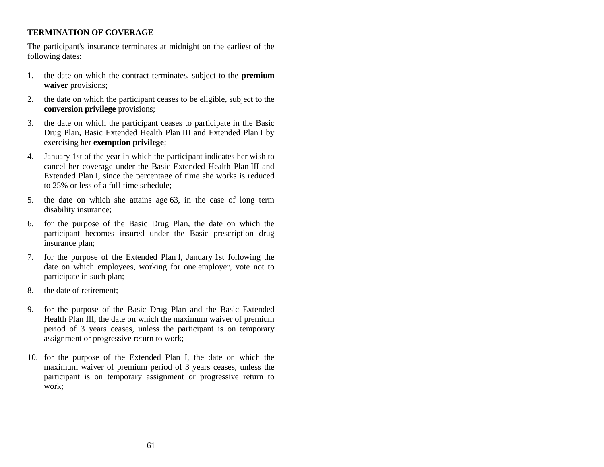# **TERMINATION OF COVERAGE**

The participant's insurance terminates at midnight on the earliest of the following dates:

- 1. the date on which the contract terminates, subject to the **premium waiver** provisions;
- 2. the date on which the participant ceases to be eligible, subject to the **conversion privilege** provisions;
- 3. the date on which the participant ceases to participate in the Basic Drug Plan, Basic Extended Health Plan III and Extended Plan I by exercising her **exemption privilege**;
- 4. January 1st of the year in which the participant indicates her wish to cancel her coverage under the Basic Extended Health Plan III and Extended Plan I, since the percentage of time she works is reduced to 25% or less of a full-time schedule;
- 5. the date on which she attains age 63, in the case of long term disability insurance;
- 6. for the purpose of the Basic Drug Plan, the date on which the participant becomes insured under the Basic prescription drug insurance plan;
- 7. for the purpose of the Extended Plan I, January 1st following the date on which employees, working for one employer, vote not to participate in such plan;
- 8. the date of retirement;
- 9. for the purpose of the Basic Drug Plan and the Basic Extended Health Plan III, the date on which the maximum waiver of premium period of 3 years ceases, unless the participant is on temporary assignment or progressive return to work;
- 10. for the purpose of the Extended Plan I, the date on which the maximum waiver of premium period of 3 years ceases, unless the participant is on temporary assignment or progressive return to work;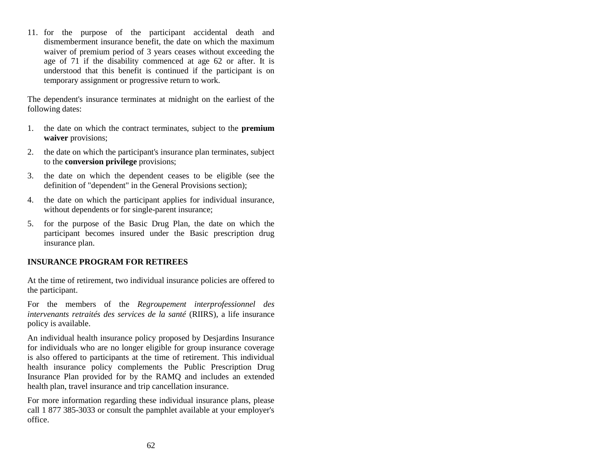11. for the purpose of the participant accidental death and dismemberment insurance benefit, the date on which the maximum waiver of premium period of 3 years ceases without exceeding the age of 71 if the disability commenced at age 62 or after. It is understood that this benefit is continued if the participant is on temporary assignment or progressive return to work.

The dependent's insurance terminates at midnight on the earliest of the following dates:

- 1. the date on which the contract terminates, subject to the **premium waiver** provisions;
- 2. the date on which the participant's insurance plan terminates, subject to the **conversion privilege** provisions;
- 3. the date on which the dependent ceases to be eligible (see the definition of "dependent" in the General Provisions section);
- 4. the date on which the participant applies for individual insurance, without dependents or for single-parent insurance;
- 5. for the purpose of the Basic Drug Plan, the date on which the participant becomes insured under the Basic prescription drug insurance plan.

## **INSURANCE PROGRAM FOR RETIREES**

At the time of retirement, two individual insurance policies are offered to the participant.

For the members of the *Regroupement interprofessionnel des intervenants retraités des services de la santé* (RIIRS), a life insurance policy is available.

An individual health insurance policy proposed by Desjardins Insurance for individuals who are no longer eligible for group insurance coverage is also offered to participants at the time of retirement. This individual health insurance policy complements the Public Prescription Drug Insurance Plan provided for by the RAMQ and includes an extended health plan, travel insurance and trip cancellation insurance.

For more information regarding these individual insurance plans, please call 1 877 385-3033 or consult the pamphlet available at your employer's office.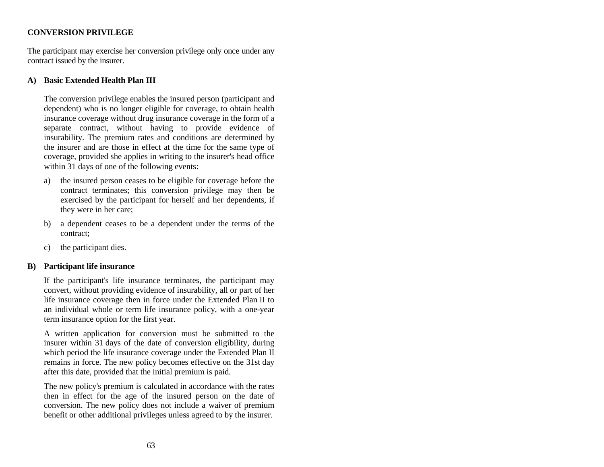## **CONVERSION PRIVILEGE**

The participant may exercise her conversion privilege only once under any contract issued by the insurer.

## **A) Basic Extended Health Plan III**

The conversion privilege enables the insured person (participant and dependent) who is no longer eligible for coverage, to obtain health insurance coverage without drug insurance coverage in the form of a separate contract, without having to provide evidence of insurability. The premium rates and conditions are determined by the insurer and are those in effect at the time for the same type of coverage, provided she applies in writing to the insurer's head office within 31 days of one of the following events:

- a) the insured person ceases to be eligible for coverage before the contract terminates; this conversion privilege may then be exercised by the participant for herself and her dependents, if they were in her care;
- b) a dependent ceases to be a dependent under the terms of the contract;
- c) the participant dies.

#### **B) Participant life insurance**

If the participant's life insurance terminates, the participant may convert, without providing evidence of insurability, all or part of her life insurance coverage then in force under the Extended Plan II to an individual whole or term life insurance policy, with a one-year term insurance option for the first year.

A written application for conversion must be submitted to the insurer within 31 days of the date of conversion eligibility, during which period the life insurance coverage under the Extended Plan II remains in force. The new policy becomes effective on the 31st day after this date, provided that the initial premium is paid.

The new policy's premium is calculated in accordance with the rates then in effect for the age of the insured person on the date of conversion. The new policy does not include a waiver of premium benefit or other additional privileges unless agreed to by the insurer.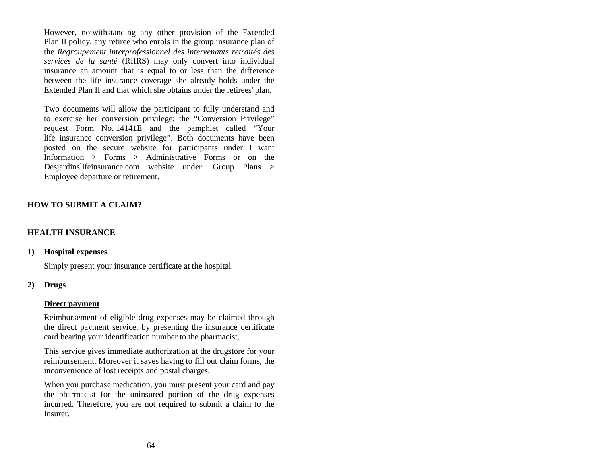However, notwithstanding any other provision of the Extended Plan II policy, any retiree who enrols in the group insurance plan of the *Regroupement interprofessionnel des intervenants retraités des services de la santé* (RIIRS) may only convert into individual insurance an amount that is equal to or less than the difference between the life insurance coverage she already holds under the Extended Plan II and that which she obtains under the retirees' plan.

Two documents will allow the participant to fully understand and to exercise her conversion privilege: the "Conversion Privilege" request Form No. 14141E and the pamphlet called "Your life insurance conversion privilege". Both documents have been posted on the secure website for participants under I want Information > Forms > Administrative Forms or on the Desjardinslifeinsurance.com website under: Group Plans > Employee departure or retirement.

# **HOW TO SUBMIT A CLAIM?**

# **HEALTH INSURANCE**

#### **1) Hospital expenses**

Simply present your insurance certificate at the hospital.

#### **2) Drugs**

#### **Direct payment**

Reimbursement of eligible drug expenses may be claimed through the direct payment service, by presenting the insurance certificate card bearing your identification number to the pharmacist.

This service gives immediate authorization at the drugstore for your reimbursement. Moreover it saves having to fill out claim forms, the inconvenience of lost receipts and postal charges.

When you purchase medication, you must present your card and pay the pharmacist for the uninsured portion of the drug expenses incurred. Therefore, you are not required to submit a claim to the Insurer.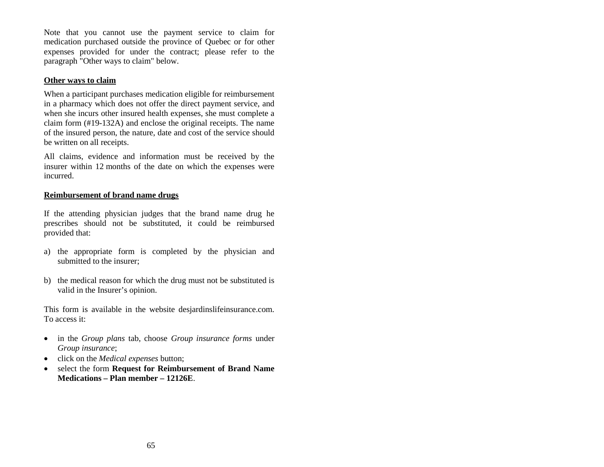Note that you cannot use the payment service to claim for medication purchased outside the province of Quebec or for other expenses provided for under the contract; please refer to the paragraph "Other ways to claim" below.

## **Other ways to claim**

When a participant purchases medication eligible for reimbursement in a pharmacy which does not offer the direct payment service, and when she incurs other insured health expenses, she must complete a claim form (#19-132A) and enclose the original receipts. The name of the insured person, the nature, date and cost of the service should be written on all receipts.

All claims, evidence and information must be received by the insurer within 12 months of the date on which the expenses were incurred.

## **Reimbursement of brand name drugs**

If the attending physician judges that the brand name drug he prescribes should not be substituted, it could be reimbursed provided that:

- a) the appropriate form is completed by the physician and submitted to the insurer;
- b) the medical reason for which the drug must not be substituted is valid in the Insurer's opinion.

This form is available in the website desjardinslifeinsurance.com. To access it:

- in the *Group plans* tab, choose *Group insurance forms* under *Group insurance*;
- click on the *Medical expenses* button;
- select the form **Request for Reimbursement of Brand Name Medications – Plan member – 12126E**.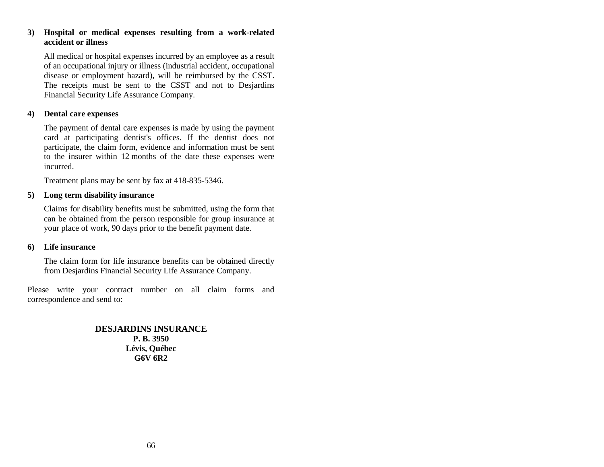#### **3) Hospital or medical expenses resulting from a work-related accident or illness**

All medical or hospital expenses incurred by an employee as a result of an occupational injury or illness (industrial accident, occupational disease or employment hazard), will be reimbursed by the CSST. The receipts must be sent to the CSST and not to Desjardins Financial Security Life Assurance Company.

#### **4) Dental care expenses**

The payment of dental care expenses is made by using the payment card at participating dentist's offices. If the dentist does not participate, the claim form, evidence and information must be sent to the insurer within 12 months of the date these expenses were incurred.

Treatment plans may be sent by fax at 418-835-5346.

#### **5) Long term disability insurance**

Claims for disability benefits must be submitted, using the form that can be obtained from the person responsible for group insurance at your place of work, 90 days prior to the benefit payment date.

#### **6) Life insurance**

The claim form for life insurance benefits can be obtained directly from Desjardins Financial Security Life Assurance Company.

Please write your contract number on all claim forms and correspondence and send to:

> **DESJARDINS INSURANCE P. B. 3950 Lévis, Québec G6V 6R2**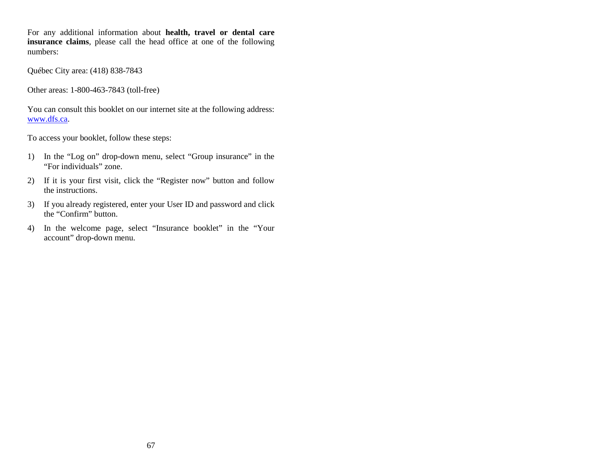For any additional information about **health, travel or dental care insurance claims**, please call the head office at one of the following numbers:

Québec City area: (418) 838-7843

Other areas: 1-800-463-7843 (toll-free)

You can consult this booklet on our internet site at the following address: [www.dfs.ca.](http://www.dfs.ca/)

To access your booklet, follow these steps:

- 1) In the "Log on" drop-down menu, select "Group insurance" in the "For individuals" zone.
- 2) If it is your first visit, click the "Register now" button and follow the instructions.
- 3) If you already registered, enter your User ID and password and click the "Confirm" button.
- 4) In the welcome page, select "Insurance booklet" in the "Your account" drop-down menu.